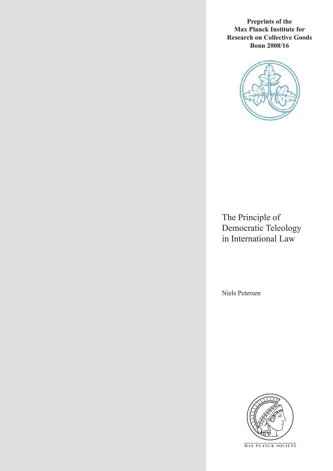**Preprints of the Max Planck Institute for Research on Collective Goods Bonn 2008/16**



The Principle of Democratic Teleology in International Law

Niels Petersen



**M AX P L A N C K S O C I E T Y**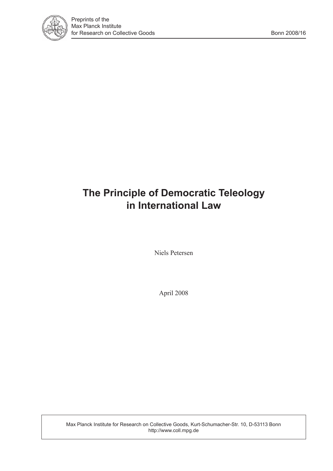

# **The Principle of Democratic Teleology in International Law**

Niels Petersen

April 2008

Max Planck Institute for Research on Collective Goods, Kurt-Schumacher-Str. 10, D-53113 Bonn http://www.coll.mpg.de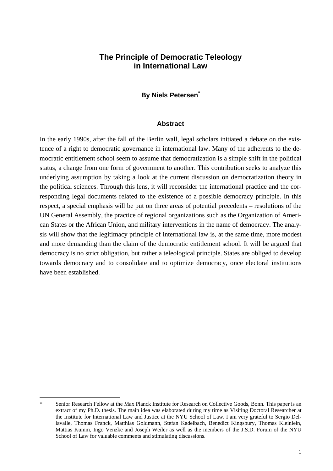# **The Principle of Democratic Teleology in International Law**

#### **By Niels Petersen***\**

#### **Abstract**

In the early 1990s, after the fall of the Berlin wall, legal scholars initiated a debate on the existence of a right to democratic governance in international law. Many of the adherents to the democratic entitlement school seem to assume that democratization is a simple shift in the political status, a change from one form of government to another. This contribution seeks to analyze this underlying assumption by taking a look at the current discussion on democratization theory in the political sciences. Through this lens, it will reconsider the international practice and the corresponding legal documents related to the existence of a possible democracy principle. In this respect, a special emphasis will be put on three areas of potential precedents – resolutions of the UN General Assembly, the practice of regional organizations such as the Organization of American States or the African Union, and military interventions in the name of democracy. The analysis will show that the legitimacy principle of international law is, at the same time, more modest and more demanding than the claim of the democratic entitlement school. It will be argued that democracy is no strict obligation, but rather a teleological principle. States are obliged to develop towards democracy and to consolidate and to optimize democracy, once electoral institutions have been established.

 $\overline{a}$ 

<sup>\*</sup> Senior Research Fellow at the Max Planck Institute for Research on Collective Goods, Bonn. This paper is an extract of my Ph.D. thesis. The main idea was elaborated during my time as Visiting Doctoral Researcher at the Institute for International Law and Justice at the NYU School of Law. I am very grateful to Sergio Dellavalle, Thomas Franck, Matthias Goldmann, Stefan Kadelbach, Benedict Kingsbury, Thomas Kleinlein, Mattias Kumm, Ingo Venzke and Joseph Weiler as well as the members of the J.S.D. Forum of the NYU School of Law for valuable comments and stimulating discussions.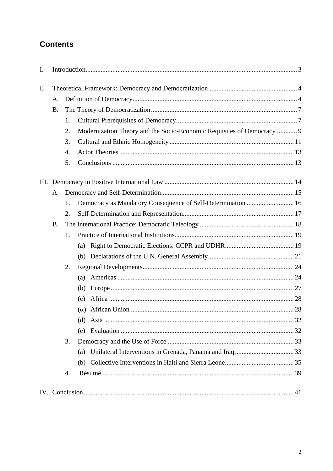# **Contents**

| I. |           |    |                                                                        |  |  |
|----|-----------|----|------------------------------------------------------------------------|--|--|
| Π. |           |    |                                                                        |  |  |
|    | A.        |    |                                                                        |  |  |
|    | <b>B.</b> |    |                                                                        |  |  |
|    |           | 1. |                                                                        |  |  |
|    |           | 2. | Modernization Theory and the Socio-Economic Requisites of Democracy  9 |  |  |
|    |           | 3. |                                                                        |  |  |
|    |           | 4. |                                                                        |  |  |
|    |           | 5. |                                                                        |  |  |
|    |           |    |                                                                        |  |  |
|    | A.        |    |                                                                        |  |  |
|    |           | 1. | Democracy as Mandatory Consequence of Self-Determination  16           |  |  |
|    |           | 2. |                                                                        |  |  |
|    | <b>B.</b> |    |                                                                        |  |  |
|    |           | 1. |                                                                        |  |  |
|    |           |    | (a)                                                                    |  |  |
|    |           |    | (b)                                                                    |  |  |
|    |           | 2. |                                                                        |  |  |
|    |           |    | (a)                                                                    |  |  |
|    |           |    | (b)                                                                    |  |  |
|    |           |    | (c)                                                                    |  |  |
|    |           |    | $(\alpha)$                                                             |  |  |
|    |           |    | (d)                                                                    |  |  |
|    |           |    | (e)                                                                    |  |  |
|    |           | 3. |                                                                        |  |  |
|    |           |    | (a)                                                                    |  |  |
|    |           |    | (b)                                                                    |  |  |
|    |           | 4. |                                                                        |  |  |
|    |           |    |                                                                        |  |  |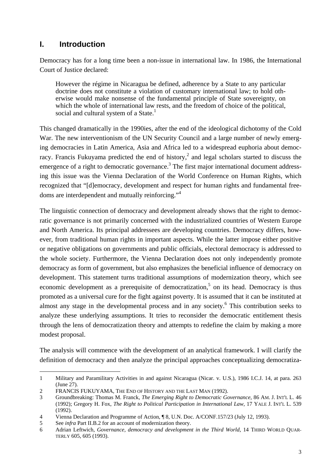# **I. Introduction**

Democracy has for a long time been a non-issue in international law. In 1986, the International Court of Justice declared:

However the régime in Nicaragua be defined, adherence by a State to any particular doctrine does not constitute a violation of customary international law; to hold otherwise would make nonsense of the fundamental principle of State sovereignty, on which the whole of international law rests, and the freedom of choice of the political, social and cultural system of a State.<sup>1</sup>

This changed dramatically in the 1990ies, after the end of the ideological dichotomy of the Cold War. The new interventionism of the UN Security Council and a large number of newly emerging democracies in Latin America, Asia and Africa led to a widespread euphoria about democracy. Francis Fukuyama predicted the end of history,<sup>2</sup> and legal scholars started to discuss the emergence of a right to democratic governance.<sup>3</sup> The first major international document addressing this issue was the Vienna Declaration of the World Conference on Human Rights, which recognized that "[d]emocracy, development and respect for human rights and fundamental freedoms are interdependent and mutually reinforcing."4

The linguistic connection of democracy and development already shows that the right to democratic governance is not primarily concerned with the industrialized countries of Western Europe and North America. Its principal addressees are developing countries. Democracy differs, however, from traditional human rights in important aspects. While the latter impose either positive or negative obligations on governments and public officials, electoral democracy is addressed to the whole society. Furthermore, the Vienna Declaration does not only independently promote democracy as form of government, but also emphasizes the beneficial influence of democracy on development. This statement turns traditional assumptions of modernization theory, which see economic development as a prerequisite of democratization,<sup>5</sup> on its head. Democracy is thus promoted as a universal cure for the fight against poverty. It is assumed that it can be instituted at almost any stage in the developmental process and in any society.<sup>6</sup> This contribution seeks to analyze these underlying assumptions. It tries to reconsider the democratic entitlement thesis through the lens of democratization theory and attempts to redefine the claim by making a more modest proposal.

The analysis will commence with the development of an analytical framework. I will clarify the definition of democracy and then analyze the principal approaches conceptualizing democratiza-

<sup>1</sup> Military and Paramilitary Activities in and against Nicaragua (Nicar. v. U.S.), 1986 I.C.J. 14, at para. 263 (June 27).

<sup>2</sup> FRANCIS FUKUYAMA, THE END OF HISTORY AND THE LAST MAN (1992).

<sup>3</sup> Groundbreaking: Thomas M. Franck, *The Emerging Right to Democratic Governance*, 86 AM. J. INT'L L. 46 (1992); Gregory H. Fox, *The Right to Political Participation in International Law*, 17 YALE J. INT'L L. 539 (1992).

<sup>4</sup> Vienna Declaration and Programme of Action, ¶ 8, U.N. Doc. A/CONF.157/23 (July 12, 1993).

<sup>5</sup> See *infra* Part II.B.2 for an account of modernization theory.

<sup>6</sup> Adrian Leftwich, *Governance, democracy and development in the Third World*, 14 THIRD WORLD QUAR-TERLY 605, 605 (1993).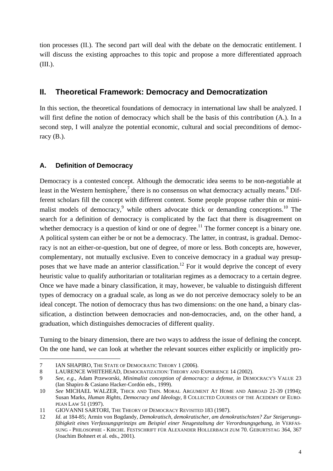tion processes (II.). The second part will deal with the debate on the democratic entitlement. I will discuss the existing approaches to this topic and propose a more differentiated approach (III.).

# **II. Theoretical Framework: Democracy and Democratization**

In this section, the theoretical foundations of democracy in international law shall be analyzed. I will first define the notion of democracy which shall be the basis of this contribution (A.). In a second step, I will analyze the potential economic, cultural and social preconditions of democracy  $(B<sub>.)</sub>$ .

# **A. Definition of Democracy**

Democracy is a contested concept. Although the democratic idea seems to be non-negotiable at least in the Western hemisphere,<sup>7</sup> there is no consensus on what democracy actually means.<sup>8</sup> Different scholars fill the concept with different content. Some people propose rather thin or minimalist models of democracy,<sup>9</sup> while others advocate thick or demanding conceptions.<sup>10</sup> The search for a definition of democracy is complicated by the fact that there is disagreement on whether democracy is a question of kind or one of degree.<sup>11</sup> The former concept is a binary one. A political system can either be or not be a democracy. The latter, in contrast, is gradual. Democracy is not an either-or-question, but one of degree, of more or less. Both concepts are, however, complementary, not mutually exclusive. Even to conceive democracy in a gradual way presupposes that we have made an anterior classification.<sup>12</sup> For it would deprive the concept of every heuristic value to qualify authoritarian or totalitarian regimes as a democracy to a certain degree. Once we have made a binary classification, it may, however, be valuable to distinguish different types of democracy on a gradual scale, as long as we do not perceive democracy solely to be an ideal concept. The notion of democracy thus has two dimensions: on the one hand, a binary classification, a distinction between democracies and non-democracies, and, on the other hand, a graduation, which distinguishes democracies of different quality.

Turning to the binary dimension, there are two ways to address the issue of defining the concept. On the one hand, we can look at whether the relevant sources either explicitly or implicitly pro-

 $\overline{a}$ 7 IAN SHAPIRO, THE STATE OF DEMOCRATIC THEORY 1 (2006).

<sup>8</sup> LAURENCE WHITEHEAD, DEMOCRATIZATION: THEORY AND EXPERIENCE 14 (2002).

<sup>9</sup> *See*, *e.g*., Adam Przeworski, *Minimalist conception of democracy: a defense*, *in* DEMOCRACY'S VALUE 23 (Ian Shapiro & Casiano Hacker-Cordón eds., 1999).

<sup>10</sup> *See* MICHAEL WALZER, THICK AND THIN. MORAL ARGUMENT AT HOME AND ABROAD 21-39 (1994); Susan Marks, *Human Rights, Democracy and Ideology*, 8 COLLECTED COURSES OF THE ACEDEMY OF EURO-PEAN LAW 51 (1997).

<sup>11</sup> GIOVANNI SARTORI, THE THEORY OF DEMOCRACY REVISITED 183 (1987).

<sup>12</sup> *Id*. at 184-85; Armin von Bogdandy, *Demokratisch, demokratischer, am demokratischsten? Zur Steigerungsfähigkeit eines Verfassungsprinzips am Beispiel einer Neugestaltung der Verordnungsgebung*, *in* VERFAS-SUNG - PHILOSOPHIE - KIRCHE. FESTSCHRIFT FÜR ALEXANDER HOLLERBACH ZUM 70. GEBURTSTAG 364, 367 (Joachim Bohnert et al. eds., 2001).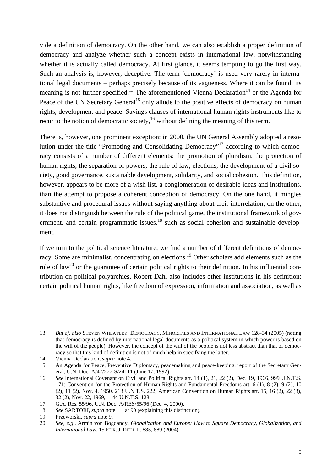vide a definition of democracy. On the other hand, we can also establish a proper definition of democracy and analyze whether such a concept exists in international law, notwithstanding whether it is actually called democracy. At first glance, it seems tempting to go the first way. Such an analysis is, however, deceptive. The term 'democracy' is used very rarely in international legal documents – perhaps precisely because of its vagueness. Where it can be found, its meaning is not further specified.<sup>13</sup> The aforementioned Vienna Declaration<sup>14</sup> or the Agenda for Peace of the UN Secretary General<sup>15</sup> only allude to the positive effects of democracy on human rights, development and peace. Savings clauses of international human rights instruments like to recur to the notion of democratic society,<sup>16</sup> without defining the meaning of this term.

There is, however, one prominent exception: in 2000, the UN General Assembly adopted a resolution under the title "Promoting and Consolidating Democracy"17 according to which democracy consists of a number of different elements: the promotion of pluralism, the protection of human rights, the separation of powers, the rule of law, elections, the development of a civil society, good governance, sustainable development, solidarity, and social cohesion. This definition, however, appears to be more of a wish list, a conglomeration of desirable ideas and institutions, than the attempt to propose a coherent conception of democracy. On the one hand, it mingles substantive and procedural issues without saying anything about their interrelation; on the other, it does not distinguish between the rule of the political game, the institutional framework of government, and certain programmatic issues, $18$  such as social cohesion and sustainable development.

If we turn to the political science literature, we find a number of different definitions of democracy. Some are minimalist, concentrating on elections.<sup>19</sup> Other scholars add elements such as the rule of law<sup>20</sup> or the guarantee of certain political rights to their definition. In his influential contribution on political polyarchies, Robert Dahl also includes other institutions in his definition: certain political human rights, like freedom of expression, information and association, as well as

<sup>13</sup> *But cf. also* STEVEN WHEATLEY, DEMOCRACY, MINORITIES AND INTERNATIONAL LAW 128-34 (2005) (noting that democracy is defined by international legal documents as a political system in which power is based on the will of the people). However, the concept of the will of the people is not less abstract than that of democracy so that this kind of definition is not of much help in specifying the latter.

<sup>14</sup> Vienna Declaration, *supra* note 4.

<sup>15</sup> An Agenda for Peace, Preventive Diplomacy, peacemaking and peace-keeping, report of the Secretary General, U.N. Doc. A/47/277-S/24111 (June 17, 1992).

<sup>16</sup> *See* International Covenant on Civil and Political Rights art. 14 (1), 21, 22 (2), Dec. 19, 1966, 999 U.N.T.S. 171; Convention for the Protection of Human Rights and Fundamental Freedoms art. 6 (1), 8 (2), 9 (2), 10 (2), 11 (2), Nov. 4, 1950, 213 U.N.T.S. 222; American Convention on Human Rights art. 15, 16 (2), 22 (3), 32 (2), Nov. 22, 1969, 1144 U.N.T.S. 123.

<sup>17</sup> G.A. Res. 55/96, U.N. Doc. A/RES/55/96 (Dec. 4, 2000).

<sup>18</sup> *See* SARTORI, *supra* note 11, at 90 (explaining this distinction).

<sup>19</sup> Przeworski, *supra* note 9.

<sup>20</sup> *See, e.g.,* Armin von Bogdandy, *Globalization and Europe: How to Square Democracy, Globalization, and International Law*, 15 EUR. J. INT'L L. 885, 889 (2004).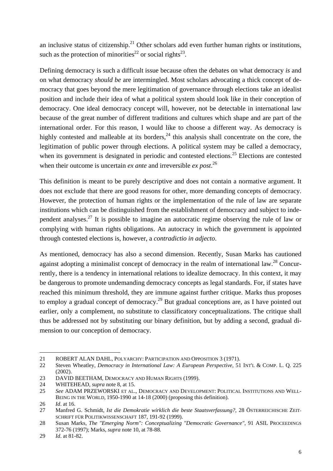an inclusive status of citizenship.<sup>21</sup> Other scholars add even further human rights or institutions, such as the protection of minorities<sup>22</sup> or social rights<sup>23</sup>.

Defining democracy is such a difficult issue because often the debates on what democracy *is* and on what democracy *should be* are intermingled. Most scholars advocating a thick concept of democracy that goes beyond the mere legitimation of governance through elections take an idealist position and include their idea of what a political system should look like in their conception of democracy. One ideal democracy concept will, however, not be detectable in international law because of the great number of different traditions and cultures which shape and are part of the international order. For this reason, I would like to choose a different way. As democracy is highly contested and malleable at its borders,  $24$  this analysis shall concentrate on the core, the legitimation of public power through elections. A political system may be called a democracy, when its government is designated in periodic and contested elections.<sup>25</sup> Elections are contested when their outcome is uncertain *ex ante* and irreversible *ex post*. 26

This definition is meant to be purely descriptive and does not contain a normative argument. It does not exclude that there are good reasons for other, more demanding concepts of democracy. However, the protection of human rights or the implementation of the rule of law are separate institutions which can be distinguished from the establishment of democracy and subject to independent analyses.<sup>27</sup> It is possible to imagine an autocratic regime observing the rule of law or complying with human rights obligations. An autocracy in which the government is appointed through contested elections is, however, a *contradictio in adjecto*.

As mentioned, democracy has also a second dimension. Recently, Susan Marks has cautioned against adopting a minimalist concept of democracy in the realm of international law.<sup>28</sup> Concurrently, there is a tendency in international relations to idealize democracy. In this context, it may be dangerous to promote undemanding democracy concepts as legal standards. For, if states have reached this minimum threshold, they are immune against further critique. Marks thus proposes to employ a gradual concept of democracy.<sup>29</sup> But gradual conceptions are, as I have pointed out earlier, only a complement, no substitute to classificatory conceptualizations. The critique shall thus be addressed not by substituting our binary definition, but by adding a second, gradual dimension to our conception of democracy.

j 21 ROBERT ALAN DAHL, POLYARCHY: PARTICIPATION AND OPPOSITION 3 (1971).

<sup>22</sup> Steven Wheatley, *Democracy in International Law: A European Perspective*, 51 INT'L & COMP. L. Q. 225 (2002).

<sup>23</sup> DAVID BEETHAM, DEMOCRACY AND HUMAN RIGHTS (1999).

<sup>24</sup> WHITEHEAD, *supra* note 8, at 15.

<sup>25</sup> *See* ADAM PRZEWORSKI ET AL., DEMOCRACY AND DEVELOPMENT: POLITICAL INSTITUTIONS AND WELL-BEING IN THE WORLD, 1950-1990 at 14-18 (2000) (proposing this definition).

<sup>26</sup> *Id*. at 16.

<sup>27</sup> Manfred G. Schmidt, *Ist die Demokratie wirklich die beste Staatsverfassung?*, 28 ÖSTERREICHISCHE ZEIT-SCHRIFT FÜR POLITIKWISSENSCHAFT 187, 191-92 (1999).

<sup>28</sup> Susan Marks, *The "Emerging Norm": Conceptualizing "Democratic Governance"*, 91 ASIL PROCEEDINGS 372-76 (1997); Marks, *supra* note 10, at 78-88.

<sup>29</sup> *Id*. at 81-82.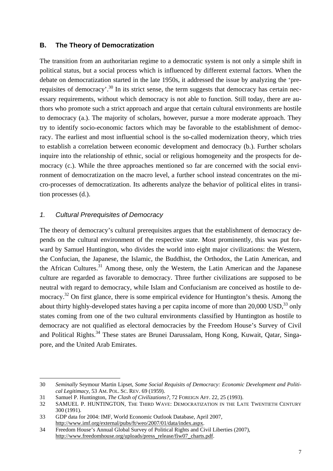#### **B. The Theory of Democratization**

The transition from an authoritarian regime to a democratic system is not only a simple shift in political status, but a social process which is influenced by different external factors. When the debate on democratization started in the late 1950s, it addressed the issue by analyzing the 'prerequisites of democracy'.<sup>30</sup> In its strict sense, the term suggests that democracy has certain necessary requirements, without which democracy is not able to function. Still today, there are authors who promote such a strict approach and argue that certain cultural environments are hostile to democracy (a.). The majority of scholars, however, pursue a more moderate approach. They try to identify socio-economic factors which may be favorable to the establishment of democracy. The earliest and most influential school is the so-called modernization theory, which tries to establish a correlation between economic development and democracy (b.). Further scholars inquire into the relationship of ethnic, social or religious homogeneity and the prospects for democracy (c.). While the three approaches mentioned so far are concerned with the social environment of democratization on the macro level, a further school instead concentrates on the micro-processes of democratization. Its adherents analyze the behavior of political elites in transition processes (d.).

#### *1. Cultural Prerequisites of Democracy*

 $\overline{a}$ 

The theory of democracy's cultural prerequisites argues that the establishment of democracy depends on the cultural environment of the respective state. Most prominently, this was put forward by Samuel Huntington, who divides the world into eight major civilizations: the Western, the Confucian, the Japanese, the Islamic, the Buddhist, the Orthodox, the Latin American, and the African Cultures.<sup>31</sup> Among these, only the Western, the Latin American and the Japanese culture are regarded as favorable to democracy. Three further civilizations are supposed to be neutral with regard to democracy, while Islam and Confucianism are conceived as hostile to democracy.<sup>32</sup> On first glance, there is some empirical evidence for Huntington's thesis. Among the about thirty highly-developed states having a per capita income of more than 20,000 USD,<sup>33</sup> only states coming from one of the two cultural environments classified by Huntington as hostile to democracy are not qualified as electoral democracies by the Freedom House's Survey of Civil and Political Rights.<sup>34</sup> These states are Brunei Darussalam, Hong Kong, Kuwait, Qatar, Singapore, and the United Arab Emirates.

<sup>30</sup> *Seminally* Seymour Martin Lipset, *Some Social Requisits of Democracy: Economic Development and Political Legitimacy*, 53 AM. POL. SC. REV. 69 (1959).

<sup>31</sup> Samuel P. Huntington, *The Clash of Civilizations?*, 72 FOREIGN AFF. 22, 25 (1993).

<sup>32</sup> SAMUEL P. HUNTINGTON, THE THIRD WAVE: DEMOCRATIZATION IN THE LATE TWENTIETH CENTURY 300 (1991).

<sup>33</sup> GDP data for 2004: IMF, World Economic Outlook Database, April 2007, http://www.imf.org/external/pubs/ft/weo/2007/01/data/index.aspx.

<sup>34</sup> Freedom House's Annual Global Survey of Political Rights and Civil Liberties (2007), http://www.freedomhouse.org/uploads/press\_release/fiw07\_charts.pdf.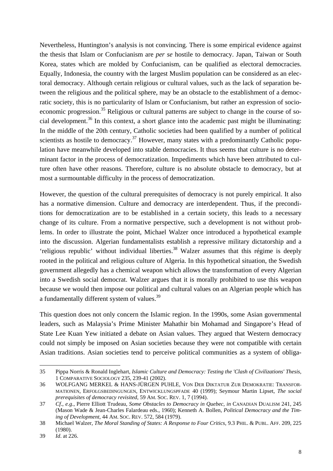Nevertheless, Huntington's analysis is not convincing. There is some empirical evidence against the thesis that Islam or Confucianism are *per se* hostile to democracy. Japan, Taiwan or South Korea, states which are molded by Confucianism, can be qualified as electoral democracies. Equally, Indonesia, the country with the largest Muslim population can be considered as an electoral democracy. Although certain religious or cultural values, such as the lack of separation between the religious and the political sphere, may be an obstacle to the establishment of a democratic society, this is no particularity of Islam or Confucianism, but rather an expression of socioeconomic progression.<sup>35</sup> Religious or cultural patterns are subject to change in the course of social development.<sup>36</sup> In this context, a short glance into the academic past might be illuminating: In the middle of the 20th century, Catholic societies had been qualified by a number of political scientists as hostile to democracy.<sup>37</sup> However, many states with a predominantly Catholic population have meanwhile developed into stable democracies. It thus seems that culture is no determinant factor in the process of democratization. Impediments which have been attributed to culture often have other reasons. Therefore, culture is no absolute obstacle to democracy, but at most a surmountable difficulty in the process of democratization.

However, the question of the cultural prerequisites of democracy is not purely empirical. It also has a normative dimension. Culture and democracy are interdependent. Thus, if the preconditions for democratization are to be established in a certain society, this leads to a necessary change of its culture. From a normative perspective, such a development is not without problems. In order to illustrate the point, Michael Walzer once introduced a hypothetical example into the discussion. Algerian fundamentalists establish a repressive military dictatorship and a 'religious republic' without individual liberties.<sup>38</sup> Walzer assumes that this régime is deeply rooted in the political and religious culture of Algeria. In this hypothetical situation, the Swedish government allegedly has a chemical weapon which allows the transformation of every Algerian into a Swedish social democrat. Walzer argues that it is morally prohibited to use this weapon because we would then impose our political and cultural values on an Algerian people which has a fundamentally different system of values.39

This question does not only concern the Islamic region. In the 1990s, some Asian governmental leaders, such as Malaysia's Prime Minister Mahathir bin Mohamad and Singapore's Head of State Lee Kuan Yew initiated a debate on Asian values. They argued that Western democracy could not simply be imposed on Asian societies because they were not compatible with certain Asian traditions. Asian societies tend to perceive political communities as a system of obliga-

<sup>35</sup> Pippa Norris & Ronald Inglehart, *Islamic Culture and Democracy: Testing the 'Clash of Civilizations' Thesis*, 1 COMPARATIVE SOCIOLOGY 235, 239-41 (2002).

<sup>36</sup> WOLFGANG MERKEL & HANS-JÜRGEN PUHLE, VON DER DIKTATUR ZUR DEMOKRATIE: TRANSFOR-MATIONEN, ERFOLGSBEDINGUNGEN, ENTWICKLUNGSPFADE 40 (1999); Seymour Martin Lipset, *The social prerequisites of democracy revisited*, 59 AM. SOC. REV. 1, 7 (1994).

<sup>37</sup> *Cf*., *e.g*., Pierre Elliott Trudeau, *Some Obstacles to Democracy in Quebec*, *in* CANADIAN DUALISM 241, 245 (Mason Wade & Jean-Charles Falardeau eds., 1960); Kenneth A. Bollen, *Political Democracy and the Timing of Development*, 44 AM. SOC. REV. 572, 584 (1979).

<sup>38</sup> Michael Walzer, *The Moral Standing of States: A Response to Four Critics*, 9.3 PHIL. & PUBL. AFF. 209, 225 (1980).

<sup>39</sup> *Id*. at 226.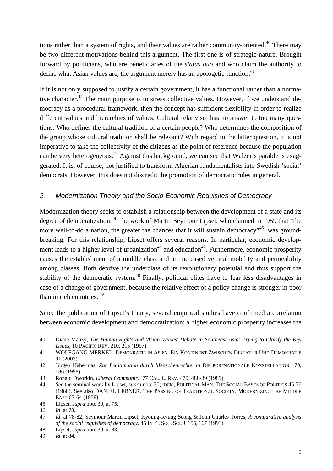tions rather than a system of rights, and their values are rather community-oriented.<sup>40</sup> There may be two different motivations behind this argument. The first one is of strategic nature. Brought forward by politicians, who are beneficiaries of the *status quo* and who claim the authority to define what Asian values are, the argument merely has an apologetic function.<sup>41</sup>

If it is not only supposed to justify a certain government, it has a functional rather than a normative character.<sup>42</sup> The main purpose is to stress collective values. However, if we understand democracy as a procedural framework, then the concept has sufficient flexibility in order to realize different values and hierarchies of values. Cultural relativism has no answer to too many questions: Who defines the cultural tradition of a certain people? Who determines the composition of the group whose cultural tradition shall be relevant? With regard to the latter question, it is not imperative to take the collectivity of the citizens as the point of reference because the population can be very heterogeneous.<sup>43</sup> Against this background, we can see that Walzer's parable is exaggerated. It is, of course, not justified to transform Algerian fundamentalists into Swedish 'social' democrats. However, this does not discredit the promotion of democratic rules in general.

#### *2. Modernization Theory and the Socio-Economic Requisites of Democracy*

Modernization theory seeks to establish a relationship between the development of a state and its degree of democratization.<sup>44</sup> The work of Martin Seymour Lipset, who claimed in 1959 that "the more well-to-do a nation, the greater the chances that it will sustain democracy<sup> $,45$ </sup>, was groundbreaking. For this relationship, Lipset offers several reasons. In particular, economic development leads to a higher level of urbanization<sup>46</sup> and education<sup>47</sup>. Furthermore, economic prosperity causes the establishment of a middle class and an increased vertical mobility and permeability among classes. Both deprive the underclass of its revolutionary potential and thus support the stability of the democratic system.<sup>48</sup> Finally, political elites have to fear less disadvantages in case of a change of government, because the relative effect of a policy change is stronger in poor than in rich countries.  $49$ 

Since the publication of Lipset's theory, several empirical studies have confirmed a correlation between economic development and democratization: a higher economic prosperity increases the

j

49 *Id*. at 84.

<sup>40</sup> Diane Mauzy, *The Human Rights and 'Asian Values' Debate in Southeast Asia: Trying to Clarify the Key Issues*, 10 PACIFIC REV. 210, 215 (1997).

<sup>41</sup> WOLFGANG MERKEL, DEMOKRATIE IN ASIEN. EIN KONTINENT ZWISCHEN DIKTATUR UND DEMOKRATIE 91 (2003).

<sup>42</sup> Jürgen Habermas, *Zur Legitimation durch Menschenrechte*, *in* DIE POSTNATIONALE KONSTELLATION 170, 186 (1998).

<sup>43</sup> Ronald Dworkin, *Liberal Community*, 77 CAL. L. REV. 479, 488-89 (1989).

<sup>44</sup> *See* the seminal work by Lipset, *supra* note 30; IDEM, POLITICAL MAN. THE SOCIAL BASES OF POLITICS 45-76 (1960). See also DANIEL LERNER, THE PASSING OF TRADITIONAL SOCIETY. MODERNIZING THE MIDDLE EAST 63-64 (1958).

<sup>45</sup> Lipset, *supra* note 30, at 75.

<sup>46</sup> *Id*. at 78.

<sup>47</sup> *Id*. at 78-82; Seymour Martin Lipset, Kyoung-Ryung Seong & John Charles Torres, *A comparative analysis of the social requisites of democracy*, 45 INT'L SOC. SCI. J. 155, 167 (1993).

<sup>48</sup> Lipset, *supra* note 30, at 83.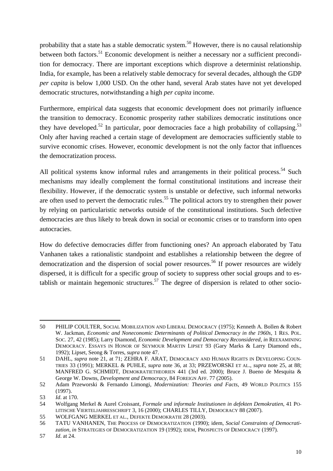probability that a state has a stable democratic system.<sup>50</sup> However, there is no causal relationship between both factors.<sup>51</sup> Economic development is neither a necessary nor a sufficient precondition for democracy. There are important exceptions which disprove a determinist relationship. India, for example, has been a relatively stable democracy for several decades, although the GDP *per capita* is below 1,000 USD. On the other hand, several Arab states have not yet developed democratic structures, notwithstanding a high *per capita* income.

Furthermore, empirical data suggests that economic development does not primarily influence the transition to democracy. Economic prosperity rather stabilizes democratic institutions once they have developed.<sup>52</sup> In particular, poor democracies face a high probability of collapsing.<sup>53</sup> Only after having reached a certain stage of development are democracies sufficiently stable to survive economic crises. However, economic development is not the only factor that influences the democratization process.

All political systems know informal rules and arrangements in their political process.<sup>54</sup> Such mechanisms may ideally complement the formal constitutional institutions and increase their flexibility. However, if the democratic system is unstable or defective, such informal networks are often used to pervert the democratic rules.<sup>55</sup> The political actors try to strengthen their power by relying on particularistic networks outside of the constitutional institutions. Such defective democracies are thus likely to break down in social or economic crises or to transform into open autocracies.

How do defective democracies differ from functioning ones? An approach elaborated by Tatu Vanhanen takes a rationalistic standpoint and establishes a relationship between the degree of democratization and the dispersion of social power resources.<sup>56</sup> If power resources are widely dispersed, it is difficult for a specific group of society to suppress other social groups and to establish or maintain hegemonic structures.<sup>57</sup> The degree of dispersion is related to other socio-

 $\overline{a}$ 50 PHILIP COULTER, SOCIAL MOBILIZATION AND LIBERAL DEMOCRACY (1975); Kenneth A. Bollen & Robert W. Jackman, *Economic and Noneconomic Determinants of Political Democracy in the 1960s*, 1 RES. POL. SOC. 27, 42 (1985); Larry Diamond, *Economic Development and Democracy Reconsidered*, *in* REEXAMINING DEMOCRACY. ESSAYS IN HONOR OF SEYMOUR MARTIN LIPSET 93 (Gary Marks & Larry Diamond eds., 1992); Lipset, Seong & Torres, *supra* note 47.

<sup>51</sup> DAHL, *supra* note 21, at 71; ZEHRA F. ARAT, DEMOCRACY AND HUMAN RIGHTS IN DEVELOPING COUN-TRIES 33 (1991); MERKEL & PUHLE, *supra* note 36, at 33; PRZEWORSKI ET AL., *supra* note 25, at 88; MANFRED G. SCHMIDT, DEMOKRATIETHEORIEN 441 (3rd ed. 2000); Bruce J. Bueno de Mesquita & George W. Downs, *Development and Democracy*, 84 FOREIGN AFF. 77 (2005).

<sup>52</sup> Adam Przeworski & Fernando Limongi, *Modernization: Theories and Facts*, 49 WORLD POLITICS 155 (1997).

<sup>53</sup> *Id*. at 170.

<sup>54</sup> Wolfgang Merkel & Aurel Croissant, *Formale und informale Institutionen in defekten Demokratien*, 41 PO-LITISCHE VIERTELJAHRESSCHRIFT 3, 16 (2000); CHARLES TILLY, DEMOCRACY 88 (2007).

<sup>55</sup> WOLFGANG MERKEL ET AL*.*, DEFEKTE DEMOKRATIE 28 (2003).

<sup>56</sup> TATU VANHANEN, THE PROCESS OF DEMOCRATIZATION (1990); idem, *Social Constraints of Democratization*, *in* STRATEGIES OF DEMOCRATIZATION 19 (1992); IDEM, PROSPECTS OF DEMOCRACY (1997).

<sup>57</sup> *Id*. at 24.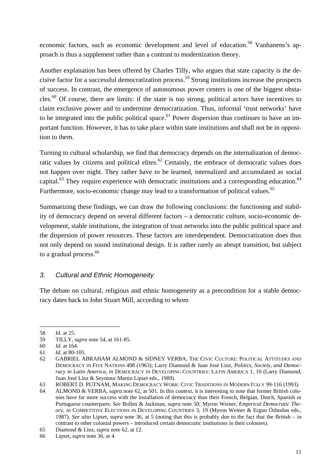economic factors, such as economic development and level of education.<sup>58</sup> Vanhanens's approach is thus a supplement rather than a contrast to modernization theory.

Another explanation has been offered by Charles Tilly, who argues that state capacity is the decisive factor for a successful democratization process.59 Strong institutions increase the prospects of success. In contrast, the emergence of autonomous power centers is one of the biggest obstacles.<sup>60</sup> Of course, there are limits: if the state is too strong, political actors have incentives to claim exclusive power and to undermine democratization. Thus, informal 'trust networks' have to be integrated into the public political space.<sup>61</sup> Power dispersion thus continues to have an important function. However, it has to take place within state institutions and shall not be in opposition to them.

Turning to cultural scholarship, we find that democracy depends on the internalization of democratic values by citizens and political elites.<sup> $62$ </sup> Certainly, the embrace of democratic values does not happen over night. They rather have to be learned, internalized and accumulated as social capital.<sup>63</sup> They require experience with democratic institutions and a corresponding education.<sup>64</sup> Furthermore, socio-economic change may lead to a transformation of political values.<sup>65</sup>

Summarizing these findings, we can draw the following conclusions: the functioning and stability of democracy depend on several different factors – a democratic culture, socio-economic development, stable institutions, the integration of trust networks into the public political space and the dispersion of power resources. These factors are interdependent. Democratization does thus not only depend on sound institutional design. It is rather rarely an abrupt transition, but subject to a gradual process.<sup>66</sup>

#### *3. Cultural and Ethnic Homogeneity*

The debate on cultural, religious and ethnic homogeneity as a precondition for a stable democracy dates back to John Stuart Mill, according to whom

j 58 *Id*. at 25.

<sup>59</sup> TILLY, *supra* note 54, at 161-85.

<sup>60</sup> *Id*. at 164.

<sup>61</sup> *Id*. at 80-105.

<sup>62</sup> GABRIEL ABRAHAM ALMOND & SIDNEY VERBA, THE CIVIC CULTURE: POLITICAL ATTITUDES AND DEMOCRACY IN FIVE NATIONS 498 (1963); Larry Diamond & Juan José Linz, *Politics, Society, and Democracy in Latin America*, *in* DEMOCRACY IN DEVELOPING COUNTRIES: LATIN AMERICA 1, 10 (Larry Diamond, Juan José Linz & Seymour Martin Lipset eds., 1989).

<sup>63</sup> ROBERT D. PUTNAM, MAKING DEMOCRACY WORK: CIVIC TRADITIONS IN MODERN ITALY 99-116 (1993).

<sup>64</sup> ALMOND & VERBA, *supra* note 62, at 501. In this context, it is interesting to note that former British colonies have far more success with the installation of democracy than their French, Belgian, Dutch, Spanish or Portuguese counterparts. *See* Bollen & Jackman, *supra* note 50; Myron Weiner, *Empirical Democratic Theory*, *in* COMPETITIVE ELECTIONS IN DEVELOPING COUNTRIES 3, 19 (Myron Weiner & Ergun Özbudun eds., 1987). *See also* Lipset, *supra* note 36, at 5 (noting that this is probably due to the fact that the British – in contrast to other colonial powers – introduced certain democratic institutions in their colonies).

<sup>65</sup> Diamond & Linz, *supra* note 62, at 12.

<sup>66</sup> Lipset, *supra* note 36, at 4.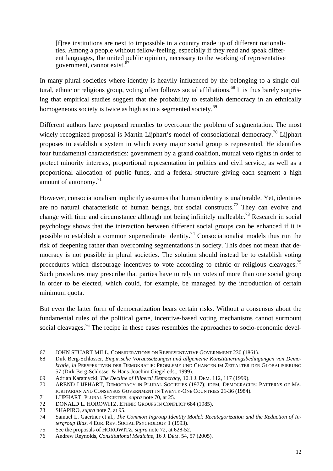[f]ree institutions are next to impossible in a country made up of different nationalities. Among a people without fellow-feeling, especially if they read and speak different languages, the united public opinion, necessary to the working of representative government, cannot exist.<sup>6</sup>

In many plural societies where identity is heavily influenced by the belonging to a single cultural, ethnic or religious group, voting often follows social affiliations.<sup>68</sup> It is thus barely surprising that empirical studies suggest that the probability to establish democracy in an ethnically homogeneous society is twice as high as in a segmented society.<sup>69</sup>

Different authors have proposed remedies to overcome the problem of segmentation. The most widely recognized proposal is Martin Lijphart's model of consociational democracy.<sup>70</sup> Lijphart proposes to establish a system in which every major social group is represented. He identifies four fundamental characteristics: government by a grand coalition, mutual veto rights in order to protect minority interests, proportional representation in politics and civil service, as well as a proportional allocation of public funds, and a federal structure giving each segment a high amount of autonomy. $^{71}$ 

However, consociationalism implicitly assumes that human identity is unalterable. Yet, identities are no natural characteristic of human beings, but social constructs.<sup>72</sup> They can evolve and change with time and circumstance although not being infinitely malleable.<sup>73</sup> Research in social psychology shows that the interaction between different social groups can be enhanced if it is possible to establish a common superordinate identity.<sup>74</sup> Consociationalist models thus run the risk of deepening rather than overcoming segmentations in society. This does not mean that democracy is not possible in plural societies. The solution should instead be to establish voting procedures which discourage incentives to vote according to ethnic or religious cleavages.<sup>75</sup> Such procedures may prescribe that parties have to rely on votes of more than one social group in order to be elected, which could, for example, be managed by the introduction of certain minimum quota.

But even the latter form of democratization bears certain risks. Without a consensus about the fundamental rules of the political game, incentive-based voting mechanisms cannot surmount social cleavages.<sup>76</sup> The recipe in these cases resembles the approaches to socio-economic devel-

j 67 JOHN STUART MILL, CONSIDERATIONS ON REPRESENTATIVE GOVERNMENT 230 (1861).

<sup>68</sup> Dirk Berg-Schlosser, *Empirische Voraussetzungen und allgemeine Konstituierungsbedingungen von Demokratie*, *in* PERSPEKTIVEN DER DEMOKRATIE: PROBLEME UND CHANCEN IM ZEITALTER DER GLOBALISIERUNG 57 (Dirk Berg-Schlosser & Hans-Joachim Giegel eds., 1999).

<sup>69</sup> Adrian Karatnycki, *The Decline of Illiberal Democracy*, 10.1 J. DEM. 112, 117 (1999).

<sup>70</sup> AREND LIJPHART, DEMOCRACY IN PLURAL SOCIETIES (1977); IDEM, DEMOCRACIES: PATTERNS OF MA-JORITARIAN AND CONSENSUS GOVERNMENT IN TWENTY-ONE COUNTRIES 21-36 (1984).

<sup>71</sup> LIJPHART, PLURAL SOCIETIES, *supra* note 70, at 25.

<sup>72</sup> DONALD L. HOROWITZ, ETHNIC GROUPS IN CONFLICT 684 (1985).

<sup>73</sup> SHAPIRO, *supra* note 7, at 95.

<sup>74</sup> Samuel L. Gaertner et al., *The Common Ingroup Identity Model: Recategorization and the Reduction of Intergroup Bias*, 4 EUR. REV. SOCIAL PSYCHOLOGY 1 (1993).

<sup>75</sup> See the proposals of HOROWITZ, *supra* note 72, at 628-52.

<sup>76</sup> Andrew Reynolds, *Constitutional Medicine*, 16 J. DEM. 54, 57 (2005).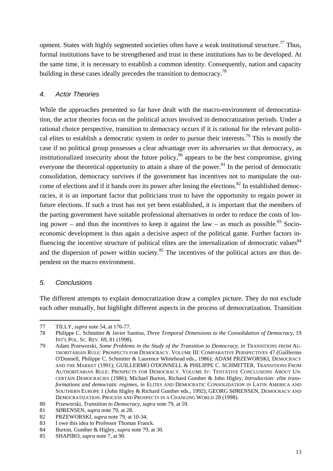opment. States with highly segmented societies often have a weak institutional structure.<sup>77</sup> Thus, formal institutions have to be strengthened and trust in these institutions has to be developed. At the same time, it is necessary to establish a common identity. Consequently, nation and capacity building in these cases ideally precedes the transition to democracy.<sup>78</sup>

#### *4. Actor Theories*

While the approaches presented so far have dealt with the macro-environment of democratization, the actor theories focus on the political actors involved in democratization periods. Under a rational choice perspective, transition to democracy occurs if it is rational for the relevant political elites to establish a democratic system in order to pursue their interests.<sup>79</sup> This is mostly the case if no political group possesses a clear advantage over its adversaries so that democracy, as institutionalized insecurity about the future policy, $80$  appears to be the best compromise, giving everyone the theoretical opportunity to attain a share of the power.<sup>81</sup> In the period of democratic consolidation, democracy survives if the government has incentives not to manipulate the outcome of elections and if it hands over its power after losing the elections.<sup>82</sup> In established democracies, it is an important factor that politicians trust to have the opportunity to regain power in future elections. If such a trust has not yet been established, it is important that the members of the parting government have suitable professional alternatives in order to reduce the costs of losing power – and thus the incentives to keep it against the law – as much as possible.<sup>83</sup> Socioeconomic development is thus again a decisive aspect of the political game. Further factors influencing the incentive structure of political elites are the internalization of democratic values  $84$ and the dispersion of power within society.<sup>85</sup> The incentives of the political actors are thus dependent on the macro environment.

#### *5. Conclusions*

 $\overline{a}$ 

The different attempts to explain democratization draw a complex picture. They do not exclude each other mutually, but highlight different aspects in the process of democratization. Transition

<sup>77</sup> TILLY, *supra* note 54, at 176-77.

<sup>78</sup> Philippe C. Schmitter & Javier Santiso, *Three Temporal Dimensions to the Consolidation of Democracy*, 19 INT'L POL. SC. REV. 69, 81 (1998).

<sup>79</sup> Adam Przeworski, *Some Problems in the Study of the Transition to Democracy*, *in* TRANSITIONS FROM AU-THORITARIAN RULE: PROSPECTS FOR DEMOCRACY. VOLUME III: COMPARATIVE PERSPECTIVES 47 (Guillermo O'Donnell, Philippe C. Schmitter & Laurence Whitehead eds., 1986); ADAM PRZEWORSKI, DEMOCRACY AND THE MARKET (1991); GUILLERMO O'DONNELL & PHILIPPE C. SCHMITTER, TRANSITIONS FROM AUTHORITARIAN RULE: PROSPECTS FOR DEMOCRACY. VOLUME IV: TENTATIVE CONCLUSIONS ABOUT UN-CERTAIN DEMOCRACIES (1986); Michael Burton, Richard Gunther & John Higley, *Introduction: elite transformations and democratic regimes*, *in* ELITES AND DEMOCRATIC CONSOLIDATION IN LATIN AMERICA AND SOUTHERN EUROPE 1 (John Higley & Richard Gunther eds., 1992); GEORG SØRENSEN, DEMOCRACY AND DEMOCRATIZATION. PROCESS AND PROSPECTS IN A CHANGING WORLD 28 (1998).

<sup>80</sup> Przeworski, *Transition to Democracy*, *supra* note 79, at 59.

<sup>81</sup> SØRENSEN, *supra* note 79, at 28.

<sup>82</sup> PRZEWORSKI, *supra* note 79, at 10-34.

<sup>83</sup> I owe this idea to Professor Thomas Franck.

<sup>84</sup> Burton, Gunther & Higley, *supra* note 79, at 30.

<sup>85</sup> SHAPIRO, *supra* note 7, at 90.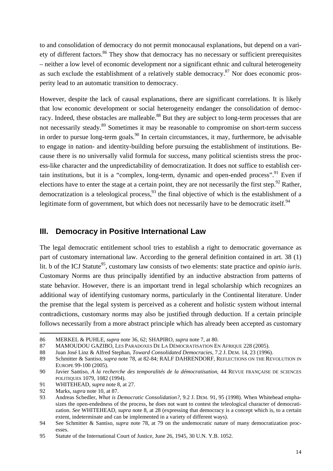to and consolidation of democracy do not permit monocausal explanations, but depend on a variety of different factors.<sup>86</sup> They show that democracy has no necessary or sufficient prerequisites – neither a low level of economic development nor a significant ethnic and cultural heterogeneity as such exclude the establishment of a relatively stable democracy. $87$  Nor does economic prosperity lead to an automatic transition to democracy.

However, despite the lack of causal explanations, there are significant correlations. It is likely that low economic development or social heterogeneity endanger the consolidation of democracy. Indeed, these obstacles are malleable.<sup>88</sup> But they are subject to long-term processes that are not necessarily steady.<sup>89</sup> Sometimes it may be reasonable to compromise on short-term success in order to pursue long-term goals.<sup>90</sup> In certain circumstances, it may, furthermore, be advisable to engage in nation- and identity-building before pursuing the establishment of institutions. Because there is no universally valid formula for success, many political scientists stress the process-like character and the unpredictability of democratization. It does not suffice to establish certain institutions, but it is a "complex, long-term, dynamic and open-ended process".<sup>91</sup> Even if elections have to enter the stage at a certain point, they are not necessarily the first step.<sup>92</sup> Rather, democratization is a teleological process,  $\frac{93}{3}$  the final objective of which is the establishment of a legitimate form of government, but which does not necessarily have to be democratic itself.<sup>94</sup>

#### **III. Democracy in Positive International Law**

The legal democratic entitlement school tries to establish a right to democratic governance as part of customary international law. According to the general definition contained in art. 38 (1) lit. b of the ICJ Statute<sup>95</sup>, customary law consists of two elements: state practice and *opinio iuris*. Customary Norms are thus principally identified by an inductive abstraction from patterns of state behavior. However, there is an important trend in legal scholarship which recognizes an additional way of identifying customary norms, particularly in the Continental literature. Under the premise that the legal system is perceived as a coherent and holistic system without internal contradictions, customary norms may also be justified through deduction. If a certain principle follows necessarily from a more abstract principle which has already been accepted as customary

<sup>86</sup> MERKEL & PUHLE, *supra* note 36, 62; SHAPIRO, *supra* note 7, at 80.

<sup>87</sup> MAMOUDOU GAZIBO, LES PARADOXES DE LA DÉMOCRATISATION EN AFRIQUE 228 (2005).

<sup>88</sup> Juan José Linz & Alfred Stephan, *Toward Consolidated Democracies*, 7.2 J. DEM. 14, 23 (1996).

<sup>89</sup> Schmitter & Santiso, *supra* note 78, at 82-84; RALF DAHRENDORF, REFLECTIONS ON THE REVOLUTION IN EUROPE 99-100 (2005).

<sup>90</sup> Javier Santiso, *A la recherche des temporalités de la démocratisation*, 44 REVUE FRANÇAISE DE SCIENCES POLITIQUES 1079, 1082 (1994).

<sup>91</sup> WHITEHEAD, *supra* note 8, at 27.

<sup>92</sup> Marks, *supra* note 10, at 87.

<sup>93</sup> Andreas Schedler, *What is Democratic Consolidation?*, 9.2 J. DEM. 91, 95 (1998). When Whitehead emphasizes the open-endedness of the process, he does not want to contest the teleological character of democratization. *See* WHITEHEAD, *supra* note 8, at 28 (expressing that democracy is a concept which is, to a certain extent, indeterminate and can be implemented in a variety of different ways).

<sup>94</sup> See Schmitter & Santiso, *supra* note 78, at 79 on the undemocratic nature of many democratization processes.

<sup>95</sup> Statute of the International Court of Justice, June 26, 1945, 30 U.N. Y.B. 1052.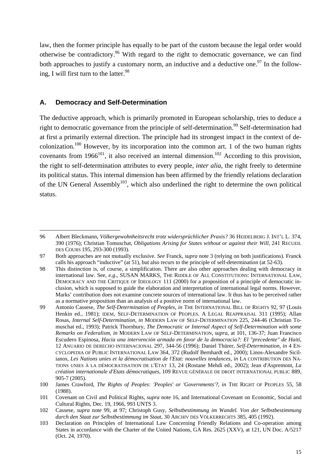law, then the former principle has equally to be part of the custom because the legal order would otherwise be contradictory.<sup>96</sup> With regard to the right to democratic governance, we can find both approaches to justify a customary norm, an inductive and a deductive one. $97$  In the following, I will first turn to the latter.  $98$ 

#### **A. Democracy and Self-Determination**

j

The deductive approach, which is primarily promoted in European scholarship, tries to deduce a right to democratic governance from the principle of self-determination.<sup>99</sup> Self-determination had at first a primarily external direction. The principle had its strongest impact in the context of decolonization.100 However, by its incorporation into the common art. 1 of the two human rights covenants from  $1966^{101}$ , it also received an internal dimension.<sup>102</sup> According to this provision, the right to self-determination attributes to every people, *inter alia*, the right freely to determine its political status. This internal dimension has been affirmed by the friendly relations declaration of the UN General Assembly<sup>103</sup>, which also underlined the right to determine the own political status.

<sup>96</sup> Albert Bleckmann, *Völkergewohnheitsrecht trotz widersprüchlicher Praxis?* 36 HEIDELBERG J. INT'L L. 374, 390 (1976); Christian Tomuschat, *Obligations Arising for States without or against their Will*, 241 RECUEIL DES COURS 195, 293-300 (1993).

<sup>97</sup> Both approaches are not mutually exclusive. *See* Franck, *supra* note 3 (relying on both justifications). Franck calls his approach "inductive" (at 51), but also recurs to the principle of self-determination (at 52-63).

<sup>98</sup> This distinction is, of course, a simplification. There are also other approaches dealing with democracy in international law. See, *e.g*., SUSAN MARKS, THE RIDDLE OF ALL CONSTITUTIONS: INTERNATIONAL LAW, DEMOCRACY AND THE CRITIQUE OF IDEOLOGY 111 (2000) for a proposition of a principle of democratic inclusion, which is supposed to guide the elaboration and interpretation of international legal norms. However, Marks' contribution does not examine concrete sources of international law. It thus has to be perceived rather as a normative proposition than an analysis of a positive norm of international law.

<sup>99</sup> Antonio Cassese, *The Self-Determination of Peoples*, *in* THE INTERNATIONAL BILL OF RIGHTS 92, 97 (Louis Henkin ed., 1981); IDEM, SELF-DETERMINATION OF PEOPLES. A LEGAL REAPPRAISAL 311 (1995); Allan Rosas, *Internal Self-Determination*, *in* MODERN LAW OF SELF-DETERMINATION 225, 244-46 (Christian Tomuschat ed., 1993); Patrick Thornbury, *The Democratic or Internal Aspect of Self-Determination with some Remarks on Federalism*, *in* MODERN LAW OF SELF-DETERMINATION, *supra*, at 101, 136-37; Juan Francisco Escudero Espinosa, *Hacia una intervención armada en favor de la democracia?: El "precedente" de Haití*, 12 ANUARIO DE DERECHO INTERNACIONAL 297, 344-56 (1996); Daniel Thürer, *Self-Determination*, *in* 4 EN-CYCLOPEDIA OF PUBLIC INTERNATIONAL LAW 364, 372 (Rudolf Bernhardt ed., 2000); Linos-Alexandre Sicilianos, *Les Nations unies et la démocratisation de l'Etat: nouvelles tendances*, *in* LA CONTRIBUTION DES NA-TIONS UNIES À LA DÉMOCRATISATION DE L'ETAT 13, 24 (Rostane Mehdi ed., 2002); Jean d'Aspremont, *La création internationale d'Etats démocratiques*, 109 REVUE GÉNÉRALE DE DROIT INTERNATIONAL PUBLIC 889, 905-7 (2005).

<sup>100</sup> James Crawford, *The Rights of Peoples: 'Peoples' or 'Governments'?*, *in* THE RIGHT OF PEOPLES 55, 58 (1988).

<sup>101</sup> Covenant on Civil and Political Rights, *supra* note 16, and International Covenant on Economic, Social and Cultural Rights, Dec. 19, 1966, 993 UNTS 3.

<sup>102</sup> Cassese, *supra* note 99, at 97; Christoph Gusy, *Selbstbestimmung im Wandel. Von der Selbstbestimmung durch den Staat zur Selbstbestimmung im Staat*, 30 ARCHIV DES VÖLKERRECHTS 385, 405 (1992).

<sup>103</sup> Declaration on Principles of International Law Concerning Friendly Relations and Co-operation among States in accordance with the Charter of the United Nations, GA Res. 2625 (XXV), at 121, UN Doc. A/5217 (Oct. 24, 1970).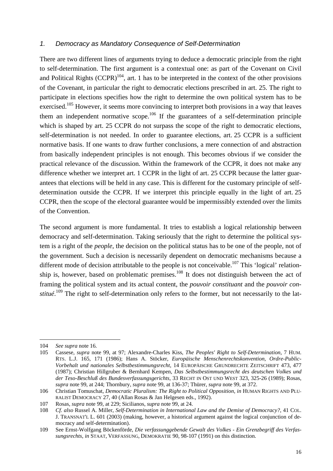#### *1. Democracy as Mandatory Consequence of Self-Determination*

There are two different lines of arguments trying to deduce a democratic principle from the right to self-determination. The first argument is a contextual one: as part of the Covenant on Civil and Political Rights (CCPR)<sup>104</sup>, art. 1 has to be interpreted in the context of the other provisions of the Covenant, in particular the right to democratic elections prescribed in art. 25. The right to participate in elections specifies how the right to determine the own political system has to be exercised.<sup>105</sup> However, it seems more convincing to interpret both provisions in a way that leaves them an independent normative scope.<sup>106</sup> If the guarantees of a self-determination principle which is shaped by art. 25 CCPR do not surpass the scope of the right to democratic elections, self-determination is not needed. In order to guarantee elections, art. 25 CCPR is a sufficient normative basis. If one wants to draw further conclusions, a mere connection of and abstraction from basically independent principles is not enough. This becomes obvious if we consider the practical relevance of the discussion. Within the framework of the CCPR, it does not make any difference whether we interpret art. 1 CCPR in the light of art. 25 CCPR because the latter guarantees that elections will be held in any case. This is different for the customary principle of selfdetermination outside the CCPR. If we interpret this principle equally in the light of art. 25 CCPR, then the scope of the electoral guarantee would be impermissibly extended over the limits of the Convention.

The second argument is more fundamental. It tries to establish a logical relationship between democracy and self-determination. Taking seriously that the right to determine the political system is a right of the *people*, the decision on the political status has to be one of the people, not of the government. Such a decision is necessarily dependent on democratic mechanisms because a different mode of decision attributable to the people is not conceivable.<sup>107</sup> This 'logical' relationship is, however, based on problematic premises.<sup>108</sup> It does not distinguish between the act of framing the political system and its actual content, the *pouvoir constituant* and the *pouvoir con*stitué.<sup>109</sup> The right to self-determination only refers to the former, but not necessarily to the lat-

 $\overline{a}$ 

<sup>104</sup> *See supra* note 16.

<sup>105</sup> Cassese, *supra* note 99, at 97; Alexandre-Charles Kiss, *The Peoples' Right to Self-Determination*, 7 HUM. RTS. L.J. 165, 171 (1986); Hans A. Stöcker, *Europäische Menschenrechtskonvention, Ordre-Public-Vorbehalt und nationales Selbstbestimmungsrecht*, 14 EUROPÄISCHE GRUNDRECHTE ZEITSCHRIFT 473, 477 (1987); Christian Hillgruber & Bernhard Kempen, *Das Selbstbestimmungsrecht des deutschen Volkes und der Teso-Beschluß des Bundesverfassungsgerichts*, 33 RECHT IN OST UND WEST 323, 325-26 (1989); Rosas, *supra* note 99, at 244; Thornbury, *supra* note 99, at 136-37; Thürer, *supra* note 99, at 372.

<sup>106</sup> Christian Tomuschat, *Democratic Pluralism: The Right to Political Opposition*, *in* HUMAN RIGHTS AND PLU-RALIST DEMOCRACY 27, 40 (Allan Rosas & Jan Helgesen eds., 1992).

<sup>107</sup> Rosas, *supra* note 99, at 229; Sicilianos, *supra* note 99, at 24.

<sup>108</sup> *Cf. also* Russel A. Miller, *Self-Determination in International Law and the Demise of Democracy?*, 41 COL. J. TRANSNAT'L L. 601 (2003) (making, however, a historical argument against the logical conjunction of democracy and self-determination).

<sup>109</sup> See Ernst-Wolfgang Böckenförde, *Die verfassunggebende Gewalt des Volkes - Ein Grenzbegriff des Verfassungsrechts*, *in* STAAT, VERFASSUNG, DEMOKRATIE 90, 98-107 (1991) on this distinction.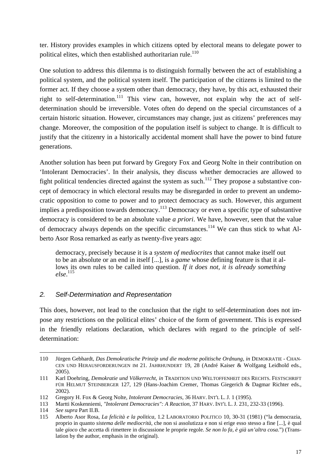ter. History provides examples in which citizens opted by electoral means to delegate power to political elites, which then established authoritarian rule.<sup>110</sup>

One solution to address this dilemma is to distinguish formally between the act of establishing a political system, and the political system itself. The participation of the citizens is limited to the former act. If they choose a system other than democracy, they have, by this act, exhausted their right to self-determination.<sup>111</sup> This view can, however, not explain why the act of selfdetermination should be irreversible. Votes often do depend on the special circumstances of a certain historic situation. However, circumstances may change, just as citizens' preferences may change. Moreover, the composition of the population itself is subject to change. It is difficult to justify that the citizenry in a historically accidental moment shall have the power to bind future generations.

Another solution has been put forward by Gregory Fox and Georg Nolte in their contribution on 'Intolerant Democracies'. In their analysis, they discuss whether democracies are allowed to fight political tendencies directed against the system as such.<sup>112</sup> They propose a substantive concept of democracy in which electoral results may be disregarded in order to prevent an undemocratic opposition to come to power and to protect democracy as such. However, this argument implies a predisposition towards democracy.<sup>113</sup> Democracy or even a specific type of substantive democracy is considered to be an absolute value *a priori*. We have, however, seen that the value of democracy always depends on the specific circumstances.<sup>114</sup> We can thus stick to what Alberto Asor Rosa remarked as early as twenty-five years ago:

democracy, precisely because it is a *system of mediocrites* that cannot make itself out to be an absolute or an end in itself [...], is a *game* whose defining feature is that it allows its own rules to be called into question. *If it does not, it is already something else*. 115

#### *2. Self-Determination and Representation*

This does, however, not lead to the conclusion that the right to self-determination does not impose any restrictions on the political elites' choice of the form of government. This is expressed in the friendly relations declaration, which declares with regard to the principle of selfdetermination:

<sup>110</sup> Jürgen Gebhardt, *Das Demokratische Prinzip und die moderne politische Ordnung*, *in* DEMOKRATIE - CHAN-CEN UND HERAUSFORDERUNGEN IM 21. JAHRHUNDERT 19, 28 (André Kaiser & Wolfgang Leidhold eds., 2005).

<sup>111</sup> Karl Doehring, *Demokratie und Völkerrecht*, *in* TRADITION UND WELTOFFENHEIT DES RECHTS. FESTSCHRIFT FÜR HELMUT STEINBERGER 127, 129 (Hans-Joachim Cremer, Thomas Giegerich & Dagmar Richter eds., 2002).

<sup>112</sup> Gregory H. Fox & Georg Nolte, *Intolerant Democracies*, 36 HARV. INT'L L. J. 1 (1995).

<sup>113</sup> Martti Koskenniemi, *"Intolerant Democracies": A Reaction*, 37 HARV. INT'L L. J. 231, 232-33 (1996).

<sup>114</sup> *See supra* Part II.B.

<sup>115</sup> Alberto Asor Rosa, *La felicità e la politica*, 1.2 LABORATORIO POLITICO 10, 30-31 (1981) ("la democrazia, proprio in quanto *sistema delle mediocrità*, che non si assolutizza e non si erige esso stesso a fine [...], è qual tale *gioco* che accetta di rimettere in discussione le proprie regole. *Se non lo fa, è già un'altra cosa*.") (Translation by the author, emphasis in the original).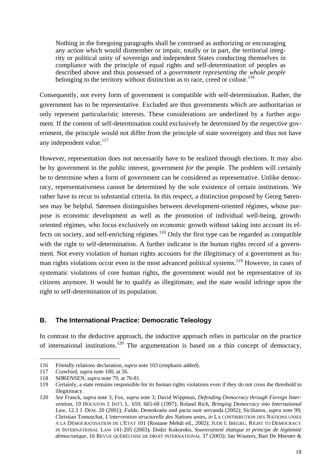Nothing in the foregoing paragraphs shall be construed as authorizing or encouraging any action which would dismember or impair, totally or in part, the territorial integrity or political unity of sovereign and independent States conducting themselves in compliance with the principle of equal rights and self-determination of peoples as described above and thus possessed of a *government representing the whole people* belonging to the territory without distinction as to race, creed or colour.<sup>116</sup>

Consequently, not every form of government is compatible with self-determination. Rather, the government has to be representative. Excluded are thus governments which are authoritarian or only represent particularistic interests. These considerations are underlined by a further argument. If the content of self-determination could exclusively be determined by the respective government, the principle would not differ from the principle of state sovereignty and thus not have any independent value. $117$ 

However, representation does not necessarily have to be realized through elections. It may also be by government in the public interest, government *for* the people. The problem will certainly be to determine when a form of government can be considered as representative. Unlike democracy, representativeness cannot be determined by the sole existence of certain institutions. We rather have to recur to substantial criteria. In this respect, a distinction proposed by Georg Sørensen may be helpful. Sørensen distinguishes between development-oriented régimes, whose purpose is economic development as well as the promotion of individual well-being, growthoriented régimes, who focus exclusively on economic growth without taking into account its effects on society, and self-enriching régimes.<sup>118</sup> Only the first type can be regarded as compatible with the right to self-determination. A further indicator is the human rights record of a government. Not every violation of human rights accounts for the illegitimacy of a government as human rights violations occur even in the most advanced political systems.<sup>119</sup> However, in cases of systematic violations of core human rights, the government would not be representative of its citizens anymore. It would be to qualify as illegitimate, and the state would infringe upon the right to self-determination of its population.

#### **B. The International Practice: Democratic Teleology**

In contrast to the deductive approach, the inductive approach relies in particular on the practice of international institutions.<sup>120</sup> The argumentation is based on a thin concept of democracy,

 $\overline{a}$ 116 Friendly relations declaration, *supra* note 103 (emphasis added).

<sup>117</sup> Crawford, *supra* note 100, at 56.

<sup>118</sup> SØRENSEN, *supra* note 79, at 76-81.

<sup>119</sup> Certainly, a state remains responsible for its human rights violations even if they do not cross the threshold to illegitimacy.

<sup>120</sup> *See* Franck, *supra* note 3; Fox, *supra* note 3; David Wippman, *Defending Democracy through Foreign Intervention*, 19 HOUSTON J. INT'L L. 659, 665-68 (1997); Roland Rich, *Bringing Democracy into International Law*, 12.3 J. DEM. 20 (2001); *Fulda*, Demokratie und pacta sunt servanda (2002); Sicilianos, *supra* note 99; Christian Tomuschat, *L'intervention structurelle des Nations unies*, *in* LA CONTRIBUTION DES NATIONS UNIES À LA DÉMOCRATISATION DE L'ETAT 101 (Rostane Mehdi ed., 2002); JUDE I. IBEGBU, RIGHT TO DEMOCRACY IN INTERNATIONAL LAW 141-205 (2003); Dodzi Kokoroko, *Souveraineté étatique et principe de légitimité démocratique*, 16 REVUE QUÉBÉCOISE DE DROIT INTERNATIONAL 37 (2003); Jan Wouters, Bart De Meester &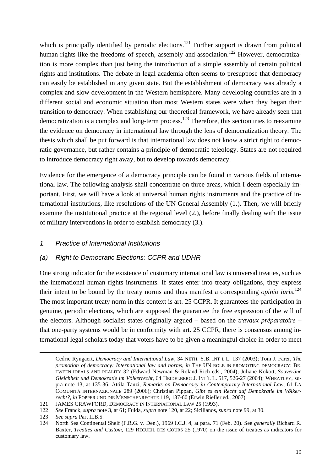which is principally identified by periodic elections.<sup>121</sup> Further support is drawn from political human rights like the freedoms of speech, assembly and association.<sup>122</sup> However, democratization is more complex than just being the introduction of a simple assembly of certain political rights and institutions. The debate in legal academia often seems to presuppose that democracy can easily be established in any given state. But the establishment of democracy was already a complex and slow development in the Western hemisphere. Many developing countries are in a different social and economic situation than most Western states were when they began their transition to democracy. When establishing our theoretical framework, we have already seen that democratization is a complex and long-term process.<sup>123</sup> Therefore, this section tries to reexamine the evidence on democracy in international law through the lens of democratization theory. The thesis which shall be put forward is that international law does not know a strict right to democratic governance, but rather contains a principle of democratic teleology. States are not required to introduce democracy right away, but to develop towards democracy.

Evidence for the emergence of a democracy principle can be found in various fields of international law. The following analysis shall concentrate on three areas, which I deem especially important. First, we will have a look at universal human rights instruments and the practice of international institutions, like resolutions of the UN General Assembly (1.). Then, we will briefly examine the institutional practice at the regional level (2.), before finally dealing with the issue of military interventions in order to establish democracy (3.).

#### *1. Practice of International Institutions*

#### *(a) Right to Democratic Elections: CCPR and UDHR*

One strong indicator for the existence of customary international law is universal treaties, such as the international human rights instruments. If states enter into treaty obligations, they express their intent to be bound by the treaty norms and thus manifest a corresponding *opinio iuris*. 124 The most important treaty norm in this context is art. 25 CCPR. It guarantees the participation in genuine, periodic elections, which are supposed the guarantee the free expression of the will of the electors. Although socialist states originally argued – based on the *travaux préparatoire* – that one-party systems would be in conformity with art. 25 CCPR, there is consensus among international legal scholars today that voters have to be given a meaningful choice in order to meet

Cedric Ryngaert, *Democracy and International Law*, 34 NETH. Y.B. INT'L L. 137 (2003); Tom J. Farer, *The promotion of democracy: International law and norms*, *in* THE UN ROLE IN PROMOTING DEMOCRACY: BE-TWEEN IDEALS AND REALITY 32 (Edward Newman & Roland Rich eds., 2004); Juliane Kokott, *Souveräne Gleichheit und Demokratie im Völkerrecht*, 64 HEIDELBERG J. INT'L L. 517, 526-27 (2004); WHEATLEY, supra note 13, at 135-36; Attila Tanzi, *Remarks on Democracy in Contemporary International Law*, 61 LA COMUNITÀ INTERNAZIONALE 289 (2006); Christian Pippan, *Gibt es ein Recht auf Demokratie im Völkerrecht?*, *in* POPPER UND DIE MENSCHENRECHTE 119, 137-60 (Erwin Riefler ed., 2007).

<sup>121</sup> JAMES CRAWFORD, DEMOCRACY IN INTERNATIONAL LAW 25 (1993).

<sup>122</sup> *See* Franck, *supra* note 3, at 61; Fulda, *supra* note 120, at 22; Sicilianos, *supra* note 99, at 30.

<sup>123</sup> *See supra* Part II.B.5.

<sup>124</sup> North Sea Continental Shelf (F.R.G. v. Den.), 1969 I.C.J. 4, at para. 71 (Feb. 20). See *generally* Richard R. Baxter, *Treaties and Custom*, 129 RECUEIL DES COURS 25 (1970) on the issue of treaties as indicators for customary law.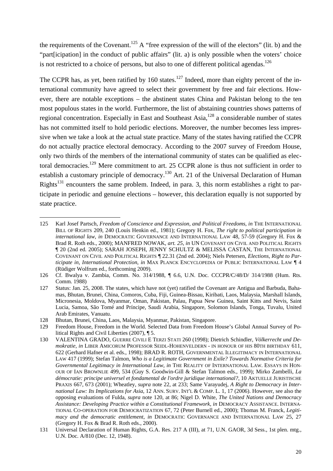the requirements of the Covenant.<sup>125</sup> A "free expression of the will of the electors" (lit. b) and the "part[icipation] in the conduct of public affairs" (lit. a) is only possible when the voters' choice is not restricted to a choice of persons, but also to one of different political agendas.<sup>126</sup>

The CCPR has, as yet, been ratified by 160 states.<sup>127</sup> Indeed, more than eighty percent of the international community have agreed to select their government by free and fair elections. However, there are notable exceptions – the abstinent states China and Pakistan belong to the ten most populous states in the world. Furthermore, the list of abstaining countries shows patterns of regional concentration. Especially in East and Southeast Asia,<sup>128</sup> a considerable number of states has not committed itself to hold periodic elections. Moreover, the number becomes less impressive when we take a look at the actual state practice. Many of the states having ratified the CCPR do not actually practice electoral democracy. According to the 2007 survey of Freedom House, only two thirds of the members of the international community of states can be qualified as electoral democracies.<sup>129</sup> Mere commitment to art. 25 CCPR alone is thus not sufficient in order to establish a customary principle of democracy.<sup>130</sup> Art. 21 of the Universal Declaration of Human Rights<sup>131</sup> encounters the same problem. Indeed, in para. 3, this norm establishes a right to participate in periodic and genuine elections – however, this declaration equally is not supported by state practice.

<sup>125</sup> Karl Josef Partsch, *Freedom of Conscience and Expression, and Political Freedoms*, *in* THE INTERNATIONAL BILL OF RIGHTS 209, 240 (Louis Henkin ed., 1981); Gregory H. Fox, *The right to political participation in international law*, *in* DEMOCRATIC GOVERNANCE AND INTERNATIONAL LAW 48, 57-59 (Gregory H. Fox & Brad R. Roth eds., 2000); MANFRED NOWAK, *art. 25*, *in* UN COVENANT ON CIVIL AND POLITICAL RIGHTS ¶ 20 (2nd ed. 2005); SARAH JOSEPH, JENNY SCHULTZ & MELISSA CASTAN, THE INTERNATIONAL COVENANT ON CIVIL AND POLITICAL RIGHTS ¶ 22.31 (2nd ed. 2004); Niels Petersen, *Elections, Right to Participate in, International Protection*, *in* MAX PLANCK ENCYCLOPEDIA OF PUBLIC INTERNATIONAL LAW ¶ 4 (Rüdiger Wolfrum ed., forthcoming 2009).

<sup>126</sup> Cf. Bwalya v. Zambia, Comm. No. 314/1988, ¶ 6.6, U.N. Doc. CCCPR/C/48/D/ 314/1988 (Hum. Rts. Comm. 1988)

<sup>127</sup> Status: Jan. 25, 2008. The states, which have not (yet) ratified the Covenant are Antigua and Barbuda, Bahamas, Bhutan, Brunei, China, Comoros, Cuba, Fiji, Guinea-Bissau, Kiribati, Laos, Malaysia, Marshall Islands, Micronesia, Moldova, Myanmar, Oman, Pakistan, Palau, Papua New Guinea, Saint Kitts and Nevis, Saint Lucia, Samoa, São Tomé and Príncipe, Saudi Arabia, Singapore, Solomon Islands, Tonga, Tuvalu, United Arab Emirates, Vanuatu.

<sup>128</sup> Bhutan, Brunei, China, Laos, Malaysia, Myanmar, Pakistan, Singapore.

<sup>129</sup> Freedom House, Freedom in the World. Selected Data from Freedom House's Global Annual Survey of Political Rights and Civil Liberties (2007), ¶ 5.

<sup>130</sup> VALENTINA GRADO, GUERRE CIVILI E TERZI STATI 260 (1998); Dietrich Schindler, *Völkerrecht und Demokratie*, *in* LIBER AMICORUM PROFESSOR SEIDL-HOHENVELDERN - IN HONOUR OF HIS 80TH BIRTHDAY 611, 622 (Gerhard Hafner et al. eds., 1998); BRAD R. ROTH, GOVERNMENTAL ILLEGITIMACY IN INTERNATIONAL LAW 417 (1999); Stefan Talmon, *Who is a Legitimate Government in Exile? Towards Normative Criteria for Governmental Legitimacy in International Law*, *in* THE REALITY OF INTERNATIONAL LAW. ESSAYS IN HON-OUR OF IAN BROWNLIE 499, 534 (Guy S. Goodwin-Gill & Stefan Talmon eds., 1999); Mirko Zambelli, *La démocratie: principe universel et fondamental de l'ordre juridique international?*, 10 AKTUELLE JURISTISCHE PRAXIS 667, 673 (2001); Wheatley, *supra* note 22, at 233; Same Varayudej, *A Right to Democracy in International Law: Its Implications for Asia*, 12 ANN. SURV. INT'L & COMP. L. 1, 17 (2006). However, see also the opposing evaluations of Fulda, *supra* note 120, at 86; Nigel D. White, *The United Nations and Democracy Assistance: Developing Practice within a Constitutional Framework*, *in* DEMOCRACY ASSISTANCE. INTERNA-TIONAL CO-OPERATION FOR DEMOCRATIZATION 67, 72 (Peter Burnell ed., 2000); Thomas M. Franck, *Legitimacy and the democratic entitlement*, *in* DEMOCRATIC GOVERNANCE AND INTERNATIONAL LAW 25, 27 (Gregory H. Fox & Brad R. Roth eds., 2000).

<sup>131</sup> Universal Declaration of Human Rights, G.A. Res. 217 A (III), at 71, U.N. GAOR, 3d Sess., 1st plen. mtg., U.N. Doc. A/810 (Dec. 12, 1948).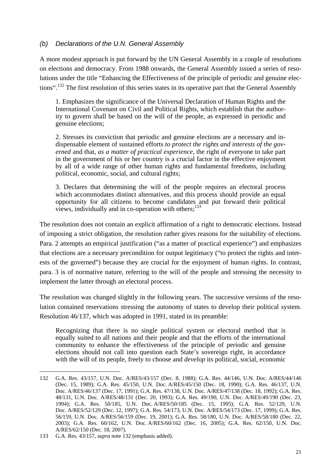#### *(b) Declarations of the U.N. General Assembly*

A more modest approach is put forward by the UN General Assembly in a couple of resolutions on elections and democracy. From 1988 onwards, the General Assembly issued a series of resolutions under the title "Enhancing the Effectiveness of the principle of periodic and genuine elections".132 The first resolution of this series states in its operative part that the General Assembly

1. Emphasizes the significance of the Universal Declaration of Human Rights and the International Covenant on Civil and Political Rights, which establish that the authority to govern shall be based on the will of the people, as expressed in periodic and genuine elections;

2. Stresses its conviction that periodic and genuine elections are a necessary and indispensable element of sustained efforts *to protect the rights and interests of the governed* and that, *as a matter of practical experience*, the right of everyone to take part in the government of his or her country is a crucial factor in the effective enjoyment by all of a wide range of other human rights and fundamental freedoms, including political, economic, social, and cultural rights;

3. Declares that determining the will of the people requires an electoral process which accommodates distinct alternatives, and this process should provide an equal opportunity for all citizens to become candidates and put forward their political views, individually and in co-operation with others:<sup>133</sup>

The resolution does not contain an explicit affirmation of a right to democratic elections. Instead of imposing a strict obligation, the resolution rather gives reasons for the suitability of elections. Para. 2 attempts an empirical justification ("as a matter of practical experience") and emphasizes that elections are a necessary precondition for output legitimacy ("to protect the rights and interests of the governed") because they are crucial for the enjoyment of human rights. In contrast, para. 3 is of normative nature, referring to the will of the people and stressing the necessity to implement the latter through an electoral process.

The resolution was changed slightly in the following years. The successive versions of the resolution contained reservations stressing the autonomy of states to develop their political system. Resolution 46/137, which was adopted in 1991, stated in its preamble:

Recognizing that there is no single political system or electoral method that is equally suited to all nations and their people and that the efforts of the international community to enhance the effectiveness of the principle of periodic and genuine elections should not call into question each State's sovereign right, in accordance with the will of its people, freely to choose and *develop* its political, social, economic

<sup>132</sup> G.A. Res. 43/157, U.N. Doc. A/RES/43/157 (Dec. 8, 1988); G.A. Res. 44/146, U.N. Doc. A/RES/44/146 (Dec. 15, 1989); G.A. Res. 45/150, U.N. Doc. A/RES/45/150 (Dec. 18, 1990); G.A. Res. 46/137, U.N. Doc. A/RES/46/137 (Dec. 17, 1991); G.A. Res. 47/138, U.N. Doc. A/RES/47/138 (Dec. 18, 1992); G.A. Res. 48/131, U.N. Doc. A/RES/48/131 (Dec. 20, 1993); G.A. Res. 49/190, U.N. Doc. A/RES/49/190 (Dec. 23, 1994); G.A. Res. 50/185, U.N. Doc. A/RES/50/185 (Dec. 15, 1995); G.A. Res. 52/129, U.N. Doc. A/RES/52/129 (Dec. 12, 1997); G.A. Res. 54/173, U.N. Doc. A/RES/54/173 (Dec. 17, 1999); G.A. Res. 56/159, U.N. Doc. A/RES/56/159 (Dec. 19, 2001); G.A. Res. 58/180, U.N. Doc. A/RES/58/180 (Dec. 22, 2003); G.A. Res. 60/162, U.N. Doc. A/RES/60/162 (Dec. 16, 2005); G.A. Res. 62/150, U.N. Doc. A/RES/62/150 (Dec. 18, 2007).

<sup>133</sup> G.A. Res. 43/157, *supra* note 132 (emphasis added).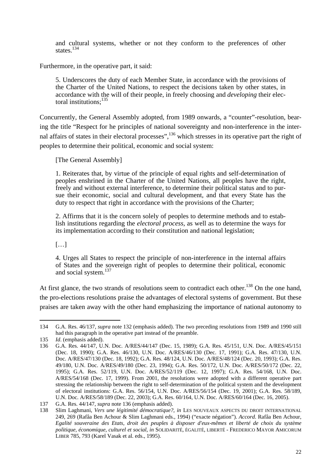and cultural systems, whether or not they conform to the preferences of other states.<sup>134</sup>

Furthermore, in the operative part, it said:

5. Underscores the duty of each Member State, in accordance with the provisions of the Charter of the United Nations, to respect the decisions taken by other states, in accordance with the will of their people, in freely choosing and *developing* their electoral institutions:<sup>135</sup>

Concurrently, the General Assembly adopted, from 1989 onwards, a "counter"-resolution, bearing the title "Respect for he principles of national sovereignty and non-interference in the internal affairs of states in their electoral processes",<sup>136</sup> which stresses in its operative part the right of peoples to determine their political, economic and social system:

[The General Assembly]

1. Reiterates that, by virtue of the principle of equal rights and self-determination of peoples enshrined in the Charter of the United Nations, all peoples have the right, freely and without external interference, to determine their political status and to pursue their economic, social and cultural development, and that every State has the duty to respect that right in accordance with the provisions of the Charter;

2. Affirms that it is the concern solely of peoples to determine methods and to establish institutions regarding the *electoral process*, as well as to determine the ways for its implementation according to their constitution and national legislation;

[…]

4. Urges all States to respect the principle of non-interference in the internal affairs of States and the sovereign right of peoples to determine their political, economic and social system.<sup>137</sup>

At first glance, the two strands of resolutions seem to contradict each other.<sup>138</sup> On the one hand, the pro-elections resolutions praise the advantages of electoral systems of government. But these praises are taken away with the other hand emphasizing the importance of national autonomy to

 $\overline{a}$ 134 G.A. Res. 46/137, *supra* note 132 (emphasis added). The two preceding resolutions from 1989 and 1990 still had this paragraph in the operative part instead of the preamble.

<sup>135</sup> *Id*. (emphasis added).

<sup>136</sup> G.A. Res. 44/147, U.N. Doc. A/RES/44/147 (Dec. 15, 1989); G.A. Res. 45/151, U.N. Doc. A/RES/45/151 (Dec. 18, 1990); G.A. Res. 46/130, U.N. Doc. A/RES/46/130 (Dec. 17, 1991); G.A. Res. 47/130, U.N. Doc. A/RES/47/130 (Dec. 18, 1992); G.A. Res. 48/124, U.N. Doc. A/RES/48/124 (Dec. 20, 1993); G.A. Res. 49/180, U.N. Doc. A/RES/49/180 (Dec. 23, 1994); G.A. Res. 50/172, U.N. Doc. A/RES/50/172 (Dec. 22, 1995); G.A. Res. 52/119, U.N. Doc. A/RES/52/119 (Dec. 12, 1997); G.A. Res. 54/168, U.N. Doc. A/RES/54/168 (Dec. 17, 1999). From 2001, the resolutions were adopted with a different operative part stressing the relationship between the right to self-determination of the political system and the development of electoral institutions: G.A. Res. 56/154, U.N. Doc. A/RES/56/154 (Dec. 19, 2001); G.A. Res. 58/189, U.N. Doc. A/RES/58/189 (Dec. 22, 2003); G.A. Res. 60/164, U.N. Doc. A/RES/60/164 (Dec. 16, 2005).

<sup>137</sup> G.A. Res. 44/147, *supra* note 136 (emphasis added).

<sup>138</sup> Slim Laghmani, *Vers une légitimité démocratique?*, *in* LES NOUVEAUX ASPECTS DU DROIT INTERNATIONAL 249, 269 (Rafâa Ben Achour & Slim Laghmani eds., 1994) ("exacte négation"). *Accord*. Rafâa Ben Achour, *Egalité souveraine des Etats, droit des peuples à disposer d'eux-mêmes et liberté de choix du système politique, économique, culturel et social*, *in* SOLIDARITÉ, ÉGALITÉ, LIBERTÉ - FREDERICO MAYOR AMICORUM LIBER 785, 793 (Karel Vasak et al. eds., 1995).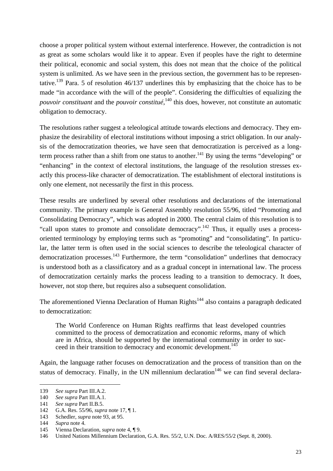choose a proper political system without external interference. However, the contradiction is not as great as some scholars would like it to appear. Even if peoples have the right to determine their political, economic and social system, this does not mean that the choice of the political system is unlimited. As we have seen in the previous section, the government has to be representative.<sup>139</sup> Para. 5 of resolution 46/137 underlines this by emphasizing that the choice has to be made "in accordance with the will of the people". Considering the difficulties of equalizing the *pouvoir constituant* and the *pouvoir constitué*, 140 this does, however, not constitute an automatic obligation to democracy.

The resolutions rather suggest a teleological attitude towards elections and democracy. They emphasize the desirability of electoral institutions without imposing a strict obligation. In our analysis of the democratization theories, we have seen that democratization is perceived as a longterm process rather than a shift from one status to another.<sup>141</sup> By using the terms "developing" or "enhancing" in the context of electoral institutions, the language of the resolution stresses exactly this process-like character of democratization. The establishment of electoral institutions is only one element, not necessarily the first in this process.

These results are underlined by several other resolutions and declarations of the international community. The primary example is General Assembly resolution 55/96, titled "Promoting and Consolidating Democracy", which was adopted in 2000. The central claim of this resolution is to "call upon states to promote and consolidate democracy".<sup>142</sup> Thus, it equally uses a processoriented terminology by employing terms such as "promoting" and "consolidating". In particular, the latter term is often used in the social sciences to describe the teleological character of democratization processes.<sup>143</sup> Furthermore, the term "consolidation" underlines that democracy is understood both as a classificatory and as a gradual concept in international law. The process of democratization certainly marks the process leading to a transition to democracy. It does, however, not stop there, but requires also a subsequent consolidation.

The aforementioned Vienna Declaration of Human Rights<sup>144</sup> also contains a paragraph dedicated to democratization:

The World Conference on Human Rights reaffirms that least developed countries committed to the process of democratization and economic reforms, many of which are in Africa, should be supported by the international community in order to succeed in their transition to democracy and economic development.<sup>145</sup>

Again, the language rather focuses on democratization and the process of transition than on the status of democracy. Finally, in the UN millennium declaration<sup>146</sup> we can find several declara-

<sup>139</sup> *See supra* Part III.A.2.

<sup>140</sup> *See supra* Part III.A.1.

<sup>141</sup> *See supra* Part II.B.5.

<sup>142</sup> G.A. Res. 55/96, *supra* note 17, ¶ 1.

<sup>143</sup> Schedler, *supra* note 93, at 95.

<sup>144</sup> *Supra* note 4.

<sup>145</sup> Vienna Declaration, *supra* note 4, ¶ 9.

<sup>146</sup> United Nations Millennium Declaration, G.A. Res. 55/2, U.N. Doc. A/RES/55/2 (Sept. 8, 2000).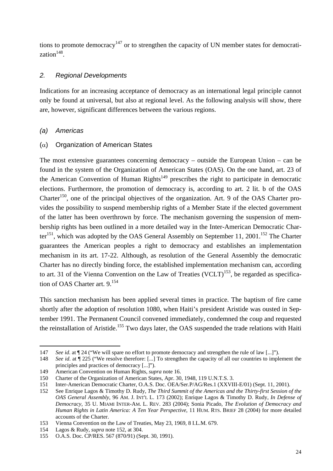tions to promote democracy<sup>147</sup> or to strengthen the capacity of UN member states for democratization<sup>148</sup>.

#### *2. Regional Developments*

Indications for an increasing acceptance of democracy as an international legal principle cannot only be found at universal, but also at regional level. As the following analysis will show, there are, however, significant differences between the various regions.

#### *(a) Americas*

j

#### (α) Organization of American States

The most extensive guarantees concerning democracy – outside the European Union – can be found in the system of the Organization of American States (OAS). On the one hand, art. 23 of the American Convention of Human Rights<sup>149</sup> prescribes the right to participate in democratic elections. Furthermore, the promotion of democracy is, according to art. 2 lit. b of the OAS Charter<sup>150</sup>, one of the principal objectives of the organization. Art. 9 of the OAS Charter provides the possibility to suspend membership rights of a Member State if the elected government of the latter has been overthrown by force. The mechanism governing the suspension of membership rights has been outlined in a more detailed way in the Inter-American Democratic Charter<sup>151</sup>, which was adopted by the OAS General Assembly on September 11, 2001.<sup>152</sup> The Charter guarantees the American peoples a right to democracy and establishes an implementation mechanism in its art. 17-22. Although, as resolution of the General Assembly the democratic Charter has no directly binding force, the established implementation mechanism can, according to art. 31 of the Vienna Convention on the Law of Treaties (VCLT)<sup>153</sup>, be regarded as specification of OAS Charter art. 9.<sup>154</sup>

This sanction mechanism has been applied several times in practice. The baptism of fire came shortly after the adoption of resolution 1080, when Haiti's president Aristide was ousted in September 1991. The Permanent Council convened immediately, condemned the coup and requested the reinstallation of Aristide.<sup>155</sup> Two days later, the OAS suspended the trade relations with Haiti

<sup>147</sup> *See id*. at ¶ 24 ("We will spare no effort to promote democracy and strengthen the rule of law [...]").

<sup>148</sup> *See id*. at ¶ 225 ("We resolve therefore: [...] To strengthen the capacity of all our countries to implement the principles and practices of democracy [...]").

<sup>149</sup> American Convention on Human Rights, *supra* note 16.

<sup>150</sup> Charter of the Organization of American States, Apr. 30, 1948, 119 U.N.T.S. 3.

<sup>151</sup> Inter-American Democratic Charter, O.A.S. Doc. OEA/Ser.P/AG/Res.1 (XXVIII-E/01) (Sept. 11, 2001).

<sup>152</sup> See Enrique Lagos & Timothy D. Rudy, *The Third Summit of the Americas and the Thirty-first Session of the OAS General Assembly*, 96 AM. J. INT'L L. 173 (2002); Enrique Lagos & Timothy D. Rudy, *In Defense of Democracy*, 35 U. MIAMI INTER-AM. L. REV. 283 (2004); Sonia Picado, *The Evolution of Democracy and Human Rights in Latin America: A Ten Year Perspective*, 11 HUM. RTS. BRIEF 28 (2004) for more detailed accounts of the Charter.

<sup>153</sup> Vienna Convention on the Law of Treaties, May 23, 1969, 8 I.L.M. 679.

<sup>154</sup> Lagos & Rudy, *supra* note 152, at 304.

<sup>155</sup> O.A.S. Doc. CP/RES. 567 (870/91) (Sept. 30, 1991).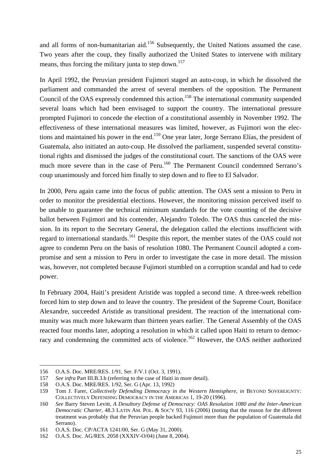and all forms of non-humanitarian aid.<sup>156</sup> Subsequently, the United Nations assumed the case. Two years after the coup, they finally authorized the United States to intervene with military means, thus forcing the military junta to step down.<sup>157</sup>

In April 1992, the Peruvian president Fujimori staged an auto-coup, in which he dissolved the parliament and commanded the arrest of several members of the opposition. The Permanent Council of the OAS expressly condemned this action.<sup>158</sup> The international community suspended several loans which had been envisaged to support the country. The international pressure prompted Fujimori to concede the election of a constitutional assembly in November 1992. The effectiveness of these international measures was limited, however, as Fujimori won the elections and maintained his power in the end.<sup>159</sup> One year later, Jorge Serrano Elías, the president of Guatemala, also initiated an auto-coup. He dissolved the parliament, suspended several constitutional rights and dismissed the judges of the constitutional court. The sanctions of the OAS were much more severe than in the case of Peru.<sup>160</sup> The Permanent Council condemned Serrano's coup unanimously and forced him finally to step down and to flee to El Salvador.

In 2000, Peru again came into the focus of public attention. The OAS sent a mission to Peru in order to monitor the presidential elections. However, the monitoring mission perceived itself to be unable to guarantee the technical minimum standards for the vote counting of the decisive ballot between Fujimori and his contender, Alejandro Toledo. The OAS thus canceled the mission. In its report to the Secretary General, the delegation called the elections insufficient with regard to international standards.<sup>161</sup> Despite this report, the member states of the OAS could not agree to condemn Peru on the basis of resolution 1080. The Permanent Council adopted a compromise and sent a mission to Peru in order to investigate the case in more detail. The mission was, however, not completed because Fujimori stumbled on a corruption scandal and had to cede power.

In February 2004, Haiti's president Aristide was toppled a second time. A three-week rebellion forced him to step down and to leave the country. The president of the Supreme Court, Boniface Alexandre, succeeded Aristide as transitional president. The reaction of the international community was much more lukewarm than thirteen years earlier. The General Assembly of the OAS reacted four months later, adopting a resolution in which it called upon Haiti to return to democracy and condemning the committed acts of violence.<sup>162</sup> However, the OAS neither authorized

j 156 O.A.S. Doc. MRE/RES. 1/91, Ser. F/V.1 (Oct. 3, 1991).

<sup>157</sup> *See infra* Part III.B.3.b (referring to the case of Haiti in more detail).

<sup>158</sup> O.A.S. Doc. MRE/RES. 1/92, Ser. G (Apr. 13, 1992)

<sup>159</sup> Tom J. Farer, *Collectively Defending Democracy in the Western Hemisphere*, *in* BEYOND SOVEREIGNTY: COLLECTIVELY DEFENDING DEMOCRACY IN THE AMERICAS 1, 19-20 (1996).

<sup>160</sup> *See* Barry Steven Levitt, *A Desultory Defense of Democracy: OAS Resolution 1080 and the Inter-American Democratic Charter*, 48.3 LATIN AM. POL. & SOC'Y 93, 116 (2006) (noting that the reason for the different treatment was probably that the Peruvian people backed Fujimori more than the population of Guatemala did Serrano).

<sup>161</sup> O.A.S. Doc. CP/ACTA 1241/00, Ser. G (May 31, 2000).

<sup>162</sup> O.A.S. Doc. AG/RES. 2058 (XXXIV-O/04) (June 8, 2004).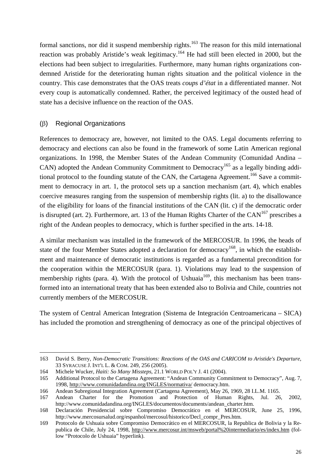formal sanctions, nor did it suspend membership rights.<sup>163</sup> The reason for this mild international reaction was probably Aristide's weak legitimacy.<sup>164</sup> He had still been elected in 2000, but the elections had been subject to irregularities. Furthermore, many human rights organizations condemned Aristide for the deteriorating human rights situation and the political violence in the country. This case demonstrates that the OAS treats *coups d'état* in a differentiated manner. Not every coup is automatically condemned. Rather, the perceived legitimacy of the ousted head of state has a decisive influence on the reaction of the OAS.

#### (β) Regional Organizations

j

References to democracy are, however, not limited to the OAS. Legal documents referring to democracy and elections can also be found in the framework of some Latin American regional organizations. In 1998, the Member States of the Andean Community (Comunidad Andina – CAN) adopted the Andean Community Commitment to Democracy<sup>165</sup> as a legally binding additional protocol to the founding statute of the CAN, the Cartagena Agreement.<sup>166</sup> Save a commitment to democracy in art. 1, the protocol sets up a sanction mechanism (art. 4), which enables coercive measures ranging from the suspension of membership rights (lit. a) to the disallowance of the eligibility for loans of the financial institutions of the CAN (lit. c) if the democratic order is disrupted (art. 2). Furthermore, art. 13 of the Human Rights Charter of the  $CAN<sup>167</sup>$  prescribes a right of the Andean peoples to democracy, which is further specified in the arts. 14-18.

A similar mechanism was installed in the framework of the MERCOSUR. In 1996, the heads of state of the four Member States adopted a declaration for democracy<sup>168</sup>, in which the establishment and maintenance of democratic institutions is regarded as a fundamental precondition for the cooperation within the MERCOSUR (para. 1). Violations may lead to the suspension of membership rights (para. 4). With the protocol of Ushuaia<sup>169</sup>, this mechanism has been transformed into an international treaty that has been extended also to Bolivia and Chile, countries not currently members of the MERCOSUR.

The system of Central American Integration (Sistema de Integración Centroamericana – SICA) has included the promotion and strengthening of democracy as one of the principal objectives of

<sup>163</sup> David S. Berry, *Non-Democratic Transitions: Reactions of the OAS and CARICOM to Aristide's Departure*, 33 SYRACUSE J. INT'L L. & COM. 249, 256 (2005).

<sup>164</sup> Michele Wucker, *Haiti: So Many Missteps*, 21.1 WORLD POL'Y J. 41 (2004).

<sup>165</sup> Additional Protocol to the Cartagena Agreement: "Andean Community Commitment to Democracy", Aug. 7, 1998, http://www.comunidadandina.org/INGLES/normativa/ democracy.htm.

<sup>166</sup> Andean Subregional Integration Agreement (Cartagena Agreement), May 26, 1969, 28 I.L.M. 1165.

<sup>167</sup> Andean Charter for the Promotion and Protection of Human Rights, Jul. 26, 2002, http://www.comunidadandina.org/INGLES/documentos/documents/andean\_charter.htm.

<sup>168</sup> Declaración Presidencial sobre Compromiso Democrático en el MERCOSUR, June 25, 1996, http://www.mercosursalud.org/espanhol/mercosul/historico/Decl\_compr\_Pres.htm.

<sup>169</sup> Protocolo de Ushuaia sobre Compromiso Democrático en el MERCOSUR, la Republica de Bolivia y la Republica de Chile, July 24, 1998, http://www.mercosur.int/msweb/portal%20intermediario/es/index.htm (follow "Protocolo de Ushuaia" hyperlink).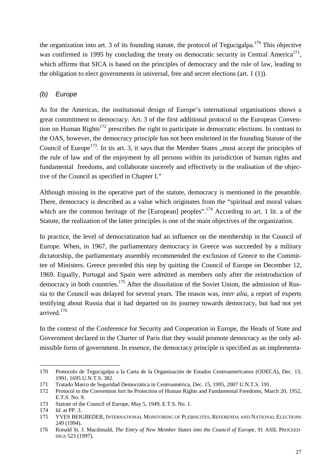the organization into art. 3 of its founding statute, the protocol of Tegucigalpa.<sup>170</sup> This objective was confirmed in 1995 by concluding the treaty on democratic security in Central America<sup>171</sup>. which affirms that SICA is based on the principles of democracy and the rule of law, leading to the obligation to elect governments in universal, free and secret elections (art. 1 (1)).

#### *(b) Europe*

As for the Americas, the institutional design of Europe's international organisations shows a great commitment to democracy. Art. 3 of the first additional protocol to the European Convention on Human Rights<sup>172</sup> prescribes the right to participate in democratic elections. In contrast to the OAS, however, the democracy principle has not been enshrined in the founding Statute of the Council of Europe<sup>173</sup>. In its art. 3, it says that the Member States , must accept the principles of the rule of law and of the enjoyment by all persons within its jurisdiction of human rights and fundamental freedoms, and collaborate sincerely and effectively in the realisation of the objective of the Council as specified in Chapter I."

Although missing in the operative part of the statute, democracy is mentioned in the preamble. There, democracy is described as a value which originates from the "spiritual and moral values which are the common heritage of the [European] peoples".<sup>174</sup> According to art. 1 lit. a of the Statute, the realization of the latter principles is one of the main objectives of the organization.

In practice, the level of democratization had an influence on the membership in the Council of Europe. When, in 1967, the parliamentary democracy in Greece was succeeded by a military dictatorship, the parliamentary assembly recommended the exclusion of Greece to the Committee of Ministers. Greece preceded this step by quitting the Council of Europe on December 12, 1969. Equally, Portugal and Spain were admitted as members only after the reintroduction of democracy in both countries.<sup>175</sup> After the dissolution of the Soviet Union, the admission of Russia to the Council was delayed for several years. The reason was, *inter alia*, a report of experts testifying about Russia that it had departed on its journey towards democracy, but had not yet arrived.176

In the context of the Conference for Security and Cooperation in Europe, the Heads of State and Government declared in the Charter of Paris that they would promote democracy as the only admissible form of government. In essence, the democracy principle is specified as an implementa-

<sup>170</sup> Protocolo de Tegucigalpa a la Carta de la Organización de Estados Centroamericanos (ODECA), Dec. 13, 1991, 1695 U.N.T.S. 382.

<sup>171</sup> Tratado Marco de Seguridad Democrática in Centroamérica, Dec. 15, 1995, 2007 U.N.T.S. 191.

<sup>172</sup> Protocol to the Convention fort he Protection of Human Rights and Fundamental Freedoms, March 20, 1952, E.T.S. No. 9.

<sup>173</sup> Statute of the Council of Europe, May 5, 1949, E.T.S. No. 1.

<sup>174</sup> *Id*. at PP. 3.

<sup>175</sup> YVES BEIGBEDER, INTERNATIONAL MONITORING OF PLEBISCITES, REFERENDA AND NATIONAL ELECTIONS 249 (1994).

<sup>176</sup> Ronald St. J. Macdonald, *The Entry of New Member States into the Council of Europe*, 91 ASIL PROCEED-INGS 523 (1997).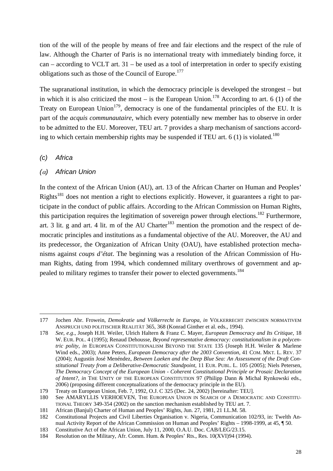tion of the will of the people by means of free and fair elections and the respect of the rule of law. Although the Charter of Paris is no international treaty with immediately binding force, it can – according to VCLT art. 31 – be used as a tool of interpretation in order to specify existing obligations such as those of the Council of Europe.<sup>177</sup>

The supranational institution, in which the democracy principle is developed the strongest – but in which it is also criticized the most – is the European Union.<sup>178</sup> According to art. 6 (1) of the Treaty on European Union<sup>179</sup>, democracy is one of the fundamental principles of the EU. It is part of the *acquis communautaire*, which every potentially new member has to observe in order to be admitted to the EU. Moreover, TEU art. 7 provides a sharp mechanism of sanctions according to which certain membership rights may be suspended if TEU art. 6 (1) is violated.<sup>180</sup>

#### *(c) Africa*

#### *(*α*) African Union*

In the context of the African Union (AU), art. 13 of the African Charter on Human and Peoples' Rights<sup>181</sup> does not mention a right to elections explicitly. However, it guarantees a right to participate in the conduct of public affairs. According to the African Commission on Human Rights, this participation requires the legitimation of sovereign power through elections.<sup>182</sup> Furthermore, art. 3 lit. g and art. 4 lit. m of the AU Charter<sup>183</sup> mention the promotion and the respect of democratic principles and institutions as a fundamental objective of the AU. Moreover, the AU and its predecessor, the Organization of African Unity (OAU), have established protection mechanisms against *coups d'état*. The beginning was a resolution of the African Commission of Human Rights, dating from 1994, which condemned military overthrows of government and appealed to military regimes to transfer their power to elected governments.184

j 177 Jochen Abr. Frowein, *Demokratie und Völkerrecht in Europa*, *in* VÖLKERRECHT ZWISCHEN NORMATIVEM ANSPRUCH UND POLITISCHER REALITÄT 365, 368 (Konrad Ginther et al. eds., 1994).

<sup>178</sup> *See*, *e.g*., Joseph H.H. Weiler, Ulrich Haltern & Franz C. Mayer, *European Democracy and Its Critique*, 18 W. EUR. POL. 4 (1995); Renaud Dehousse, *Beyond representative democracy: constitutionalism in a polycentric polity*, *in* EUROPEAN CONSTITUTIONALISM BEYOND THE STATE 135 (Joseph H.H. Weiler & Marlene Wind eds., 2003); Anne Peters, *European Democracy after the 2003 Convention*, 41 COM. MKT. L. REV. 37 (2004); Augustín José Menéndez, *Between Laeken and the Deep Blue Sea: An Assessment of the Draft Constitutional Treaty from a Deliberative-Democratic Standpoint*, 11 EUR. PUBL. L. 105 (2005); Niels Petersen, *The Democracy Concept of the European Union - Coherent Constitutional Principle or Prosaic Declaration of Intent?*, *in* THE UNITY OF THE EUROPEAN CONSTITUTION 97 (Philipp Dann & Michal Rynkowski eds., 2006) (proposing different conceptualizations of the democracy principle in the EU).

<sup>179</sup> Treaty on European Union, Feb. 7, 1992, O.J. C 325 (Dec. 24, 2002) [hereinafter: TEU].

<sup>180</sup> See AMARYLLIS VERHOEVEN, THE EUROPEAN UNION IN SEARCH OF A DEMOCRATIC AND CONSTITU-TIONAL THEORY 349-354 (2002) on the sanction mechanism established by TEU art. 7.

<sup>181</sup> African (Banjul) Charter of Human and Peoples' Rights, Jun. 27, 1981, 21 I.L.M. 58.

<sup>182</sup> Constitutional Projects and Civil Liberties Organisation v. Nigeria, Communication 102/93, in: Twelth Annual Activity Report of the African Commission on Human and Peoples' Rights – 1998-1999, at 45, ¶ 50.

<sup>183</sup> Constitutive Act of the African Union, July 11, 2000, O.A.U. Doc. CAB/LEG/23.15.

<sup>184</sup> Resolution on the Military, Afr. Comm. Hum. & Peoples' Rts., Res. 10(XVI)94 (1994).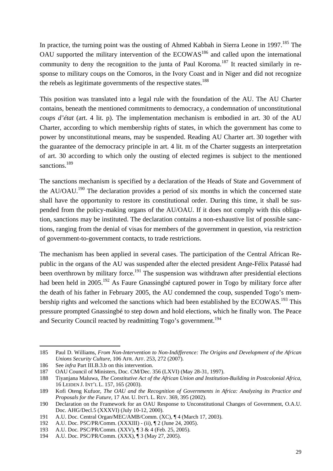In practice, the turning point was the ousting of Ahmed Kabbah in Sierra Leone in  $1997$ <sup>185</sup>. The OAU supported the military intervention of the ECOWAS<sup>186</sup> and called upon the international community to deny the recognition to the junta of Paul Koroma.<sup>187</sup> It reacted similarly in response to military coups on the Comoros, in the Ivory Coast and in Niger and did not recognize the rebels as legitimate governments of the respective states.<sup>188</sup>

This position was translated into a legal rule with the foundation of the AU. The AU Charter contains, beneath the mentioned commitments to democracy, a condemnation of unconstitutional *coups d'état* (art. 4 lit. p). The implementation mechanism is embodied in art. 30 of the AU Charter, according to which membership rights of states, in which the government has come to power by unconstitutional means, may be suspended. Reading AU Charter art. 30 together with the guarantee of the democracy principle in art. 4 lit. m of the Charter suggests an interpretation of art. 30 according to which only the ousting of elected regimes is subject to the mentioned sanctions.<sup>189</sup>

The sanctions mechanism is specified by a declaration of the Heads of State and Government of the AU/OAU.<sup>190</sup> The declaration provides a period of six months in which the concerned state shall have the opportunity to restore its constitutional order. During this time, it shall be suspended from the policy-making organs of the AU/OAU. If it does not comply with this obligation, sanctions may be instituted. The declaration contains a non-exhaustive list of possible sanctions, ranging from the denial of visas for members of the government in question, via restriction of government-to-government contacts, to trade restrictions.

The mechanism has been applied in several cases. The participation of the Central African Republic in the organs of the AU was suspended after the elected president Ange-Félix Patassé had been overthrown by military force.<sup>191</sup> The suspension was withdrawn after presidential elections had been held in 2005.<sup>192</sup> As Faure Gnassingbé captured power in Togo by military force after the death of his father in February 2005, the AU condemned the coup, suspended Togo's membership rights and welcomed the sanctions which had been established by the ECOWAS.<sup>193</sup> This pressure prompted Gnassingbé to step down and hold elections, which he finally won. The Peace and Security Council reacted by readmitting Togo's government.<sup>194</sup>

<sup>185</sup> Paul D. Williams, *From Non-Intervention to Non-Indifference: The Origins and Development of the African Unions Security Culture*, 106 AFR. AFF. 253, 272 (2007).

<sup>186</sup> See *infra* Part III.B.3.b on this intervention.

<sup>187</sup> OAU Council of Ministers, Doc. CM/Dec. 356 (LXVI) (May 28-31, 1997).

<sup>188</sup> Tiyanjana Maluwa, *The Constitutive Act of the African Union and Institution-Building in Postcolonial Africa*, 16 LEIDEN J. INT'L L. 157, 165 (2003).

<sup>189</sup> Kofi Oteng Kufuor, *The OAU and the Recognition of Governments in Africa: Analyzing its Practice and Proposals for the Future*, 17 AM. U. INT'L L. REV. 369, 395 (2002).

<sup>190</sup> Declaration on the Framework for an OAU Response to Unconstitutional Changes of Government, O.A.U. Doc. AHG/Decl.5 (XXXVI) (July 10-12, 2000).

<sup>191</sup> A.U. Doc. Central Organ/MEC/AMB/Comm. (XC), ¶ 4 (March 17, 2003).

<sup>192</sup> A.U. Doc. PSC/PR/Comm. (XXXIII) - (ii), ¶ 2 (June 24, 2005).

<sup>193</sup> A.U. Doc. PSC/PR/Comm. (XXV), ¶ 3 & 4 (Feb. 25, 2005).

<sup>194</sup> A.U. Doc. PSC/PR/Comm. (XXX), ¶ 3 (May 27, 2005).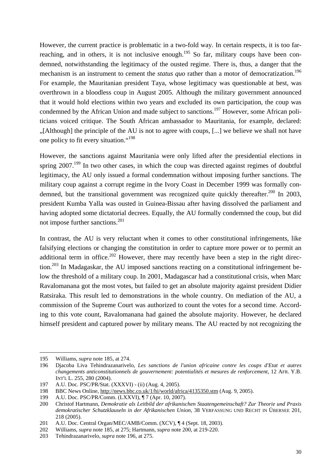However, the current practice is problematic in a two-fold way. In certain respects, it is too farreaching, and in others, it is not inclusive enough.<sup>195</sup> So far, military coups have been condemned, notwithstanding the legitimacy of the ousted regime. There is, thus, a danger that the mechanism is an instrument to cement the *status quo* rather than a motor of democratization.<sup>196</sup> For example, the Mauritanian president Taya, whose legitimacy was questionable at best, was overthrown in a bloodless coup in August 2005. Although the military government announced that it would hold elections within two years and excluded its own participation, the coup was condemned by the African Union and made subject to sanctions.<sup>197</sup> However, some African politicians voiced critique. The South African ambassador to Mauritania, for example, declared: "[Although] the principle of the AU is not to agree with coups, [...] we believe we shall not have one policy to fit every situation."198

However, the sanctions against Mauritania were only lifted after the presidential elections in spring  $2007$ <sup>199</sup>. In two other cases, in which the coup was directed against regimes of doubtful legitimacy, the AU only issued a formal condemnation without imposing further sanctions. The military coup against a corrupt regime in the Ivory Coast in December 1999 was formally condemned, but the transitional government was recognized quite quickly thereafter.<sup>200</sup> In 2003, president Kumba Yalla was ousted in Guinea-Bissau after having dissolved the parliament and having adopted some dictatorial decrees. Equally, the AU formally condemned the coup, but did not impose further sanctions.<sup>201</sup>

In contrast, the AU is very reluctant when it comes to other constitutional infringements, like falsifying elections or changing the constitution in order to capture more power or to permit an additional term in office.<sup>202</sup> However, there may recently have been a step in the right direction.<sup>203</sup> In Madagaskar, the AU imposed sanctions reacting on a constitutional infringement below the threshold of a military coup. In 2001, Madagascar had a constitutional crisis, when Marc Ravalomanana got the most votes, but failed to get an absolute majority against president Didier Ratsiraka. This result led to demonstrations in the whole country. On mediation of the AU, a commission of the Supreme Court was authorized to count the votes for a second time. According to this vote count, Ravalomanana had gained the absolute majority. However, he declared himself president and captured power by military means. The AU reacted by not recognizing the

<sup>195</sup> Williams, *supra* note 185, at 274.

<sup>196</sup> Djacoba Liva Tehindrazanarivelo, *Les sanctions de l'union africaine contre les coups d'Etat et autres changements anticonstitutionnels de gouvernement: potentialités et mesures de renforcement*, 12 AFR. Y.B. INT'L L. 255, 280 (2004).

<sup>197</sup> A.U. Doc. PSC/PR/Stat. (XXXVI) - (ii) (Aug. 4, 2005).

<sup>198</sup> BBC News Online, http://news.bbc.co.uk/1/hi/world/africa/4135350.stm (Aug. 9, 2005).

<sup>199</sup> A.U. Doc. PSC/PR/Comm. (LXXVI), ¶ 7 (Apr. 10, 2007).

<sup>200</sup> Christof Hartmann, *Demokratie als Leitbild der afrikanischen Staatengemeinschaft? Zur Theorie und Praxis demokratischer Schutzklauseln in der Afrikanischen Union*, 38 VERFASSUNG UND RECHT IN ÜBERSEE 201, 218 (2005).

<sup>201</sup> A.U. Doc. Central Organ/MEC/AMB/Comm. (XCV), ¶ 4 (Sept. 18, 2003).

<sup>202</sup> Williams, *supra* note 185, at 275; Hartmann, *supra* note 200, at 219-220.

<sup>203</sup> Tehindrazanarivelo, *supra* note 196, at 275.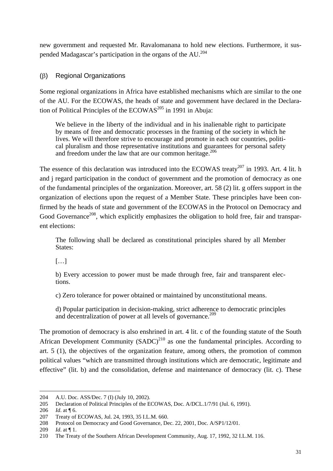new government and requested Mr. Ravalomanana to hold new elections. Furthermore, it suspended Madagascar's participation in the organs of the AU.<sup>204</sup>

#### (β) Regional Organizations

Some regional organizations in Africa have established mechanisms which are similar to the one of the AU. For the ECOWAS, the heads of state and government have declared in the Declaration of Political Principles of the  $ECOWAS<sup>205</sup>$  in 1991 in Abuja:

We believe in the liberty of the individual and in his inalienable right to participate by means of free and democratic processes in the framing of the society in which he lives. We will therefore strive to encourage and promote in each our countries, political pluralism and those representative institutions and guarantees for personal safety and freedom under the law that are our common heritage.<sup>206</sup>

The essence of this declaration was introduced into the ECOWAS treaty<sup>207</sup> in 1993. Art. 4 lit. h and j regard participation in the conduct of government and the promotion of democracy as one of the fundamental principles of the organization. Moreover, art. 58 (2) lit. g offers support in the organization of elections upon the request of a Member State. These principles have been confirmed by the heads of state and government of the ECOWAS in the Protocol on Democracy and Good Governance<sup>208</sup>, which explicitly emphasizes the obligation to hold free, fair and transparent elections:

The following shall be declared as constitutional principles shared by all Member States:

[…]

b) Every accession to power must be made through free, fair and transparent elections.

c) Zero tolerance for power obtained or maintained by unconstitutional means.

d) Popular participation in decision-making, strict adherence to democratic principles and decentralization of power at all levels of governance.<sup>209</sup>

The promotion of democracy is also enshrined in art. 4 lit. c of the founding statute of the South African Development Community  $(SADC)^{210}$  as one the fundamental principles. According to art. 5 (1), the objectives of the organization feature, among others, the promotion of common political values "which are transmitted through institutions which are democratic, legitimate and effective" (lit. b) and the consolidation, defense and maintenance of democracy (lit. c). These

j 204 A.U. Doc. ASS/Dec. 7 (I) (July 10, 2002).

<sup>205</sup> Declaration of Political Principles of the ECOWAS, Doc. A/DCL.1/7/91 (Jul. 6, 1991).

<sup>206</sup> *Id*. at ¶ 6.

<sup>207</sup> Treaty of ECOWAS, Jul. 24, 1993, 35 I.L.M. 660.

<sup>208</sup> Protocol on Democracy and Good Governance, Dec. 22, 2001, Doc. A/SP1/12/01.

<sup>209</sup> *Id*. at ¶ 1.

<sup>210</sup> The Treaty of the Southern African Development Community, Aug. 17, 1992, 32 I.L.M. 116.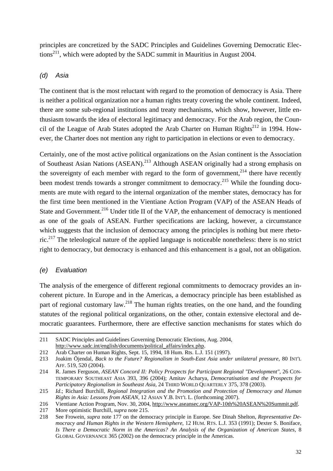principles are concretized by the SADC Principles and Guidelines Governing Democratic Elections<sup>211</sup>, which were adopted by the SADC summit in Mauritius in August 2004.

#### *(d) Asia*

The continent that is the most reluctant with regard to the promotion of democracy is Asia. There is neither a political organization nor a human rights treaty covering the whole continent. Indeed, there are some sub-regional institutions and treaty mechanisms, which show, however, little enthusiasm towards the idea of electoral legitimacy and democracy. For the Arab region, the Council of the League of Arab States adopted the Arab Charter on Human Rights<sup>212</sup> in 1994. However, the Charter does not mention any right to participation in elections or even to democracy.

Certainly, one of the most active political organizations on the Asian continent is the Association of Southeast Asian Nations (ASEAN).<sup>213</sup> Although ASEAN originally had a strong emphasis on the sovereignty of each member with regard to the form of government, $2^{14}$  there have recently been modest trends towards a stronger commitment to democracy.<sup>215</sup> While the founding documents are mute with regard to the internal organization of the member states, democracy has for the first time been mentioned in the Vientiane Action Program (VAP) of the ASEAN Heads of State and Government.<sup>216</sup> Under title II of the VAP, the enhancement of democracy is mentioned as one of the goals of ASEAN. Further specifications are lacking, however, a circumstance which suggests that the inclusion of democracy among the principles is nothing but mere rhetoric.217 The teleological nature of the applied language is noticeable nonetheless: there is no strict right to democracy, but democracy is enhanced and this enhancement is a goal, not an obligation.

#### *(e) Evaluation*

j

The analysis of the emergence of different regional commitments to democracy provides an incoherent picture. In Europe and in the Americas, a democracy principle has been established as part of regional customary law.<sup>218</sup> The human rights treaties, on the one hand, and the founding statutes of the regional political organizations, on the other, contain extensive electoral and democratic guarantees. Furthermore, there are effective sanction mechanisms for states which do

<sup>211</sup> SADC Principles and Guidelines Governing Democratic Elections, Aug. 2004, http://www.sadc.int/english/documents/political\_affairs/index.php.

<sup>212</sup> Arab Charter on Human Rights, Sept. 15, 1994, 18 Hum. Rts. L.J. 151 (1997).

<sup>213</sup> Joakim Öjendal, *Back to the Future? Regionalism in South-East Asia under unilateral pressure*, 80 INT'L AFF. 519, 520 (2004).

<sup>214</sup> R. James Ferguson, *ASEAN Concord II: Policy Prospects for Participant Regional "Development"*, 26 CON-TEMPORARY SOUTHEAST ASIA 393, 396 (2004); Amitav Acharya, *Democratisation and the Prospects for Participatory Regionalism in Southeast Asia*, 24 THIRD WORLD QUARTERLY 375, 378 (2003).

<sup>215</sup> *Id*.; Richard Burchill, *Regional Integration and the Promotion and Protection of Democracy and Human Rights in Asia: Lessons from ASEAN*, 12 ASIAN Y.B. INT'L L. (forthcoming 2007).

<sup>216</sup> Vientiane Action Program, Nov. 30, 2004, http://www.aseansec.org/VAP-10th%20ASEAN%20Summit.pdf.

<sup>217</sup> More optimistic Burchill, *supra* note 215.

<sup>218</sup> See Frowein, *supra* note 177 on the democracy principle in Europe. See Dinah Shelton, *Representative Democracy and Human Rights in the Western Hemisphere*, 12 HUM. RTS. L.J. 353 (1991); Dexter S. Boniface, *Is There a Democratic Norm in the Americas? An Analysis of the Organization of American States*, 8 GLOBAL GOVERNANCE 365 (2002) on the democracy principle in the Americas.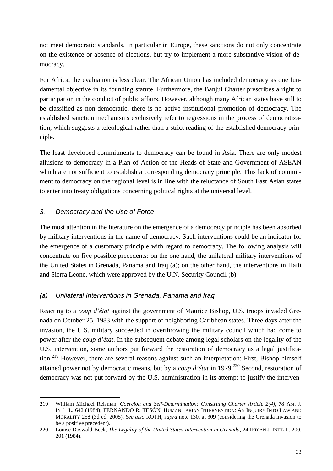not meet democratic standards. In particular in Europe, these sanctions do not only concentrate on the existence or absence of elections, but try to implement a more substantive vision of democracy.

For Africa, the evaluation is less clear. The African Union has included democracy as one fundamental objective in its founding statute. Furthermore, the Banjul Charter prescribes a right to participation in the conduct of public affairs. However, although many African states have still to be classified as non-democratic, there is no active institutional promotion of democracy. The established sanction mechanisms exclusively refer to regressions in the process of democratization, which suggests a teleological rather than a strict reading of the established democracy principle.

The least developed commitments to democracy can be found in Asia. There are only modest allusions to democracy in a Plan of Action of the Heads of State and Government of ASEAN which are not sufficient to establish a corresponding democracy principle. This lack of commitment to democracy on the regional level is in line with the reluctance of South East Asian states to enter into treaty obligations concerning political rights at the universal level.

### *3. Democracy and the Use of Force*

 $\overline{a}$ 

The most attention in the literature on the emergence of a democracy principle has been absorbed by military interventions in the name of democracy. Such interventions could be an indicator for the emergence of a customary principle with regard to democracy. The following analysis will concentrate on five possible precedents: on the one hand, the unilateral military interventions of the United States in Grenada, Panama and Iraq (a); on the other hand, the interventions in Haiti and Sierra Leone, which were approved by the U.N. Security Council (b).

# *(a) Unilateral Interventions in Grenada, Panama and Iraq*

Reacting to a *coup d'état* against the government of Maurice Bishop, U.S. troops invaded Grenada on October 25, 1983 with the support of neighboring Caribbean states. Three days after the invasion, the U.S. military succeeded in overthrowing the military council which had come to power after the *coup d'état*. In the subsequent debate among legal scholars on the legality of the U.S. intervention, some authors put forward the restoration of democracy as a legal justification.<sup>219</sup> However, there are several reasons against such an interpretation: First, Bishop himself attained power not by democratic means, but by a *coup d'état* in 1979.<sup>220</sup> Second, restoration of democracy was not put forward by the U.S. administration in its attempt to justify the interven-

<sup>219</sup> William Michael Reisman, *Coercion and Self-Determination: Construing Charter Article 2(4)*, 78 AM. J. INT'L L. 642 (1984); FERNANDO R. TESÓN, HUMANITARIAN INTERVENTION: AN INQUIRY INTO LAW AND MORALITY 258 (3d ed. 2005). *See also* ROTH, *supra* note 130, at 309 (considering the Grenada invasion to be a positive precedent).

<sup>220</sup> Louise Doswald-Beck, *The Legality of the United States Intervention in Grenada*, 24 INDIAN J. INT'L L. 200, 201 (1984).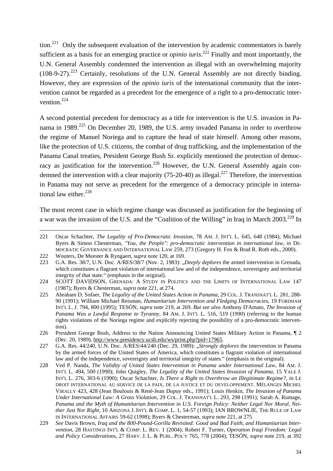tion.<sup>221</sup> Only the subsequent evaluation of the intervention by academic commentators is barely sufficient as a basis for an emerging practice or *opinio iuris*. 222 Finally and most importantly, the U.N. General Assembly condemned the intervention as illegal with an overwhelming majority  $(108-9-27)$ <sup>223</sup> Certainly, resolutions of the U.N. General Assembly are not directly binding. However, they are expression of the *opinio iuris* of the international community that the intervention cannot be regarded as a precedent for the emergence of a right to a pro-democratic intervention.224

A second potential precedent for democracy as a title for intervention is the U.S. invasion in Panama in 1989.<sup>225</sup> On December 20, 1989, the U.S. army invaded Panama in order to overthrow the regime of Manuel Noriega and to capture the head of state himself. Among other reasons, like the protection of U.S. citizens, the combat of drug trafficking, and the implementation of the Panama Canal treaties, President George Bush Sr. explicitly mentioned the protection of democracy as justification for the intervention.<sup>226</sup> However, the U.N. General Assembly again condemned the intervention with a clear majority  $(75{\text -}20{\text -}40)$  as illegal.<sup>227</sup> Therefore, the intervention in Panama may not serve as precedent for the emergence of a democracy principle in international law either. $228$ 

The most recent case in which regime change was discussed as justification for the beginning of a war was the invasion of the U.S. and the "Coalition of the Willing" in Iraq in March 2003.<sup>229</sup> In

<sup>221</sup> Oscar Schachter, *The Legality of Pro-Democratic Invasion*, 78 AM. J. INT'L L. 645, 648 (1984); Michael Byers & Simon Chesterman, *"You, the People": pro-democratic intervention in international law*, *in* DE-MOCRATIC GOVERNANCE AND INTERNATIONAL LAW 259, 273 (Gregory H. Fox & Brad R. Roth eds., 2000).

<sup>222</sup> Wouters, De Meester & Ryngaert, *supra* note 120, at 169.

<sup>223</sup> G.A. Res. 38/7, U.N. Doc. A/RES/38/7 (Nov. 2, 1983): "*Deeply deplores* the armed intervention in Grenada, which constitutes a flagrant violation of international law and of the independence, sovereignty and territorial integrity of that state." (emphasis in the original).

<sup>224</sup> SCOTT DAVIDSON, GRENADA: A STUDY IN POLITICS AND THE LIMITS OF INTERNATIONAL LAW 147 (1987); Byers & Chesterman, *supra* note 221, at 274.

<sup>225</sup> Abraham D. Sofaer, *The Legality of the United States Action in Panama*, 29 COL. J. TRANSNAT'L L. 281, 288- 90 (1991); William Michael Reisman, *Humanitarian Intervention and Fledging Democracies*, 19 FORDHAM INT'L L. J. 794, 800 (1995); TESÓN, *supra* note 219, at 269. *But see also* Anthony D'Amato, *The Invasion of Panama Was a Lawful Response to Tyranny*, 84 AM. J. INT'L L. 516, 519 (1990) (referring to the human rights violations of the Noriega regime and explicitly rejecting the possibility of a pro-democratic intervention).

<sup>226</sup> President George Bush, Address to the Nation Announcing United States Military Action in Panama, ¶ 2 (Dec. 20, 1989), http://www.presidency.ucsb.edu/ws/print.php?pid=17965.

<sup>227</sup> G.A. Res. 44/240, U.N. Doc. A/RES/44/240 (Dec. 29, 1989): "*Strongly deplores* the intervention in Panama by the armed forces of the United States of America, which constitutes a flagrant violation of international law and of the independence, sovereignty and territorial integrity of states." (emphasis in the original).

<sup>228</sup> Ved P. Nanda, *The Validity of United States Intervention in Panama under International Law*, 84 AM. J. INT'L L. 494, 500 (1990); John Quigley, *The Legality of the United States Invasion of Panama*, 15 YALE J. INT'L L. 276, 303-6 (1990); Oscar Schachter, *Is There a Right to Overthrow an Illegitimate Regime?*, *in* LE DROIT INTERNATIONAL AU SERVICE DE LA PAIX, DE LA JUSTICE ET DU DEVELOPPEMENT. MÉLANGES MICHEL VIRALLY 423, 428 (Jean Boulouis & René-Jean Dupuy eds., 1991); Louis Henkin, *The Invasion of Panama Under International Law: A Gross Violation*, 29 COL. J. TRANSNAT'L L. 293, 298 (1991); Sarah A. Rumage, *Panama and the Myth of Humanitarian Intervention in U.S. Foreign Policy: Neither Legal Nor Moral, Neither Just Nor Right*, 10 ARIZONA J. INT'L & COMP. L. 1, 54-57 (1993); IAN BROWNLIE, THE RULE OF LAW IN INTERNATIONAL AFFAIRS 59-62 (1998); Byers & Chesterman, *supra* note 221, at 275

<sup>229</sup> *See* Davis Brown, *Iraq and the 800-Pound-Gorilla Revisited: Good and Bad Faith, and Humanitarian Intervention*, 28 HASTINGS INT'L & COMP. L. REV. 1 (2004); Robert F. Turner, *Operation Iraqi Freedom: Legal and Policy Considerations*, 27 HARV. J. L. & PUBL. POL'Y 765, 778 (2004); TESÓN, *supra* note 219, at 392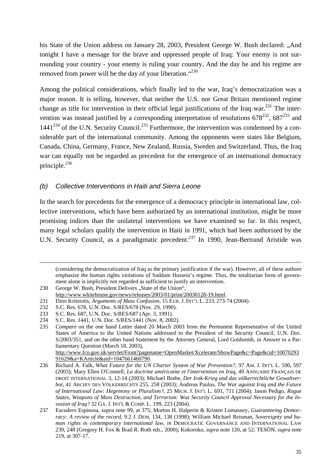his State of the Union address on January 28, 2003, President George W. Bush declared: "And tonight I have a message for the brave and oppressed people of Iraq: Your enemy is not surrounding your country - your enemy is ruling your country. And the day he and his regime are removed from power will be the day of your liberation."<sup>230</sup>

Among the political considerations, which finally led to the war, Iraq's democratization was a major reason. It is telling, however, that neither the U.S. nor Great Britain mentioned regime change as title for intervention in their official legal justifications of the Iraq war.<sup>231</sup> The intervention was instead justified by a corresponding interpretation of resolutions  $678^{232}$ ,  $687^{233}$  and  $1441^{234}$  of the U.N. Security Council.<sup>235</sup> Furthermore, the intervention was condemned by a considerable part of the international community. Among the opponents were states like Belgium, Canada, China, Germany, France, New Zealand, Russia, Sweden and Switzerland. Thus, the Iraq war can equally not be regarded as precedent for the emergence of an international democracy principle.<sup>236</sup>

#### *(b) Collective Interventions in Haiti and Sierra Leone*

In the search for precedents for the emergence of a democracy principle in international law, collective interventions, which have been authorized by an international institution, might be more promising indices than the unilateral interventions we have examined so far. In this respect, many legal scholars qualify the intervention in Haiti in 1991, which had been authorized by the U.N. Security Council, as a paradigmatic precedent.<sup>237</sup> In 1990, Jean-Bertrand Aristide was

(considering the democratization of Iraq as the primary justification if the war). However, all of these authors emphasize the human rights violations of Saddam Hussein's regime. Thus, the totalitarian form of government alone is implicitly not regarded as sufficient to justify an intervention.

 $\overline{a}$ 

<sup>230</sup> George W. Bush, President Delivers "State of the Union",

http://www.whitehouse.gov/news/releases/2003/01/print/20030128-19.html.

<sup>231</sup> Dino Kritsiotis, *Arguments of Mass Confusion*, 15 EUR. J. INT'L L. 233, 273-74 (2004).

<sup>232</sup> S.C. Res. 678, U.N. Doc. S/RES/678 (Nov. 29, 1990).

<sup>233</sup> S.C. Res. 687, U.N. Doc. S/RES/687 (Apr. 3, 1991).

<sup>234</sup> S.C. Res. 1441, U.N. Doc. S/RES/1441 (Nov. 8, 2002).

<sup>235</sup> *Compare* on the one hand Letter dated 20 March 2003 from the Permanent Representative of the United States of America to the United Nations addressed to the President of the Security Council, U.N. Doc. S/2003/351, and on the other hand Statement by the Attorney General, Lord Goldsmith, in Answer to a Parliamentary Question (March 18, 2003),

http://www.fco.gov.uk/servlet/Front?pagename=OpenMarket/Xcelerate/ShowPage&c=Page&cid=10070293 91629&a=KArticle&aid=1047661460790.

<sup>236</sup> Richard A. Falk, *What Future for the UN Charter System of War Prevention?*, 97 AM. J. INT'L L. 590, 597 (2003); Mary Ellen O'Connell, *La doctrine américaine et l'intervention en Iraq*, 49 ANNUAIRE FRANÇAIS DE DROIT INTERNATIONAL 3, 12-14 (2003); Michael Bothe, *Der Irak-Krieg und das völkerrechtliche Gewaltverbot*, 41 ARCHIV DES VÖLKERRECHTS 255, 258 (2003); Andreas Paulus, *The War against Iraq and the Future of International Law: Hegemony or Pluralism?*, 25 MICH. J. INT'L L. 691, 711 (2004); Jason Pedigo, *Rogue States, Weapons of Mass Destruction, and Terrorism: Was Security Council Approval Necessary for the Invasion of Iraq?* 32 GA. J. INT'L & COMP. L. 199, 223 (2004).

<sup>237</sup> Escudero Espinosa, *supra* note 99, at 375; Morton H. Halperin & Kristen Lomasney, *Guaranteeing Democracy: A review of the record*, 9.2 J. DEM. 134, 138 (1998); William Michael Reisman, *Sovereignty and human rights in contemporary international law*, *in* DEMOCRATIC GOVERNANCE AND INTERNATIONAL LAW 239, 248 (Gregory H. Fox & Brad R. Roth eds., 2000); Kokoroko, *supra* note 120, at 52; TESÓN, *supra* note 219, at 307-17.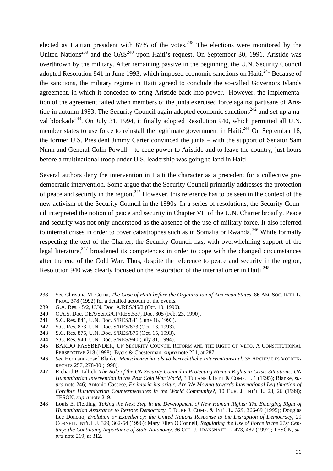elected as Haitian president with  $67\%$  of the votes.<sup>238</sup> The elections were monitored by the United Nations<sup>239</sup> and the  $OAS^{240}$  upon Haiti's request. On September 30, 1991, Aristide was overthrown by the military. After remaining passive in the beginning, the U.N. Security Council adopted Resolution 841 in June 1993, which imposed economic sanctions on Haiti.<sup>241</sup> Because of the sanctions, the military regime in Haiti agreed to conclude the so-called Governors Islands agreement, in which it conceded to bring Aristide back into power. However, the implementation of the agreement failed when members of the junta exercised force against partisans of Aristide in autumn 1993. The Security Council again adopted economic sanctions<sup>242</sup> and set up a naval blockade<sup>243</sup>. On July 31, 1994, it finally adopted Resolution 940, which permitted all U.N. member states to use force to reinstall the legitimate government in Haiti.<sup>244</sup> On September 18, the former U.S. President Jimmy Carter convinced the junta – with the support of Senator Sam Nunn and General Colin Powell – to cede power to Aristide and to leave the country, just hours before a multinational troop under U.S. leadership was going to land in Haiti.

Several authors deny the intervention in Haiti the character as a precedent for a collective prodemocratic intervention. Some argue that the Security Council primarily addresses the protection of peace and security in the region.245 However, this reference has to be seen in the context of the new activism of the Security Council in the 1990s. In a series of resolutions, the Security Council interpreted the notion of peace and security in Chapter VII of the U.N. Charter broadly. Peace and security was not only understood as the absence of the use of military force. It also referred to internal crises in order to cover catastrophes such as in Somalia or Rwanda.<sup>246</sup> While formally respecting the text of the Charter, the Security Council has, with overwhelming support of the legal literature.<sup>247</sup> broadened its competences in order to cope with the changed circumstances after the end of the Cold War. Thus, despite the reference to peace and security in the region, Resolution 940 was clearly focused on the restoration of the internal order in Haiti.<sup>248</sup>

<sup>238</sup> See Christina M. Cerna, *The Case of Haiti before the Organization of American States*, 86 AM. SOC. INT'L L. PROC. 378 (1992) for a detailed account of the events.

<sup>239</sup> G.A. Res. 45/2, U.N. Doc. A/RES/45/2 (Oct. 10, 1990).

<sup>240</sup> O.A.S. Doc. OEA/Ser.G/CP/RES.537, Doc. 805 (Feb. 23, 1990).

<sup>241</sup> S.C. Res. 841, U.N. Doc. S/RES/841 (June 16, 1993).

<sup>242</sup> S.C. Res. 873, U.N. Doc. S/RES/873 (Oct. 13, 1993).

<sup>243</sup> S.C. Res. 875, U.N. Doc. S/RES/875 (Oct. 15, 1993).

<sup>244</sup> S.C. Res. 940, U.N. Doc. S/RES/940 (July 31, 1994).

<sup>245</sup> BARDO FASSBENDER, UN SECURITY COUNCIL REFORM AND THE RIGHT OF VETO. A CONSTITUTIONAL PERSPECTIVE 218 (1998); Byers & Chesterman, *supra* note 221, at 287.

<sup>246</sup> *See* Hermann-Josef Blanke, *Menschenrechte als völkerrechtliche Interventionstitel*, 36 ARCHIV DES VÖLKER-RECHTS 257, 278-80 (1998).

<sup>247</sup> Richard B. Lillich, *The Role of the UN Security Council in Protecting Human Rights in Crisis Situations: UN Humanitarian Intervention in the Post Cold War World*, 3 TULANE J. INT'L & COMP. L. 1 (1995); Blanke, *supra* note 246; Antonio Cassese, *Ex iniuria ius oritur: Are We Moving towards International Legitimation of Forcible Humanitarian Countermeasures in the World Community?*, 10 EUR. J. INT'L L. 23, 26 (1999); TESÓN, *supra* note 219.

<sup>248</sup> Louis E. Fielding, *Taking the Next Step in the Development of New Human Rights: The Emerging Right of Humanitarian Assistance to Restore Democracy*, 5 DUKE J. COMP. & INT'L L. 329, 366-69 (1995); Douglas Lee Donoho, *Evolution or Expediency: the United Nations Response to the Disruption of Democracy*, 29 CORNELL INT'L L.J. 329, 362-64 (1996); Mary Ellen O'Connell, *Regulating the Use of Force in the 21st Century: the Continuing Importance of State Autonomy*, 36 COL. J. TRANSNAT'L L. 473, 487 (1997); TESÓN, *supra* note 219, at 312.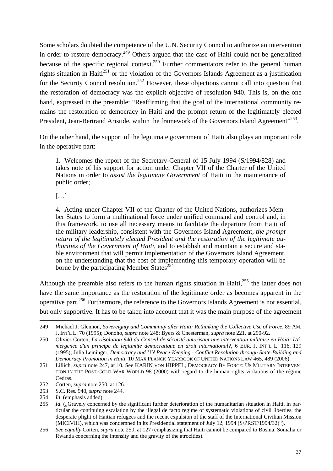Some scholars doubted the competence of the U.N. Security Council to authorize an intervention in order to restore democracy.<sup>249</sup> Others argued that the case of Haiti could not be generalized because of the specific regional context.<sup>250</sup> Further commentators refer to the general human rights situation in Haiti<sup>251</sup> or the violation of the Governors Islands Agreement as a justification for the Security Council resolution.<sup>252</sup> However, these objections cannot call into question that the restoration of democracy was the explicit objective of resolution 940. This is, on the one hand, expressed in the preamble: "Reaffirming that the goal of the international community remains the restoration of democracy in Haiti and the prompt return of the legitimately elected President, Jean-Bertrand Aristide, within the framework of the Governors Island Agreement"<sup>253</sup>.

On the other hand, the support of the legitimate government of Haiti also plays an important role in the operative part:

1. Welcomes the report of the Secretary-General of 15 July 1994 (S/1994/828) and takes note of his support for action under Chapter VII of the Charter of the United Nations in order to *assist the legitimate Government* of Haiti in the maintenance of public order;

[…]

4. Acting under Chapter VII of the Charter of the United Nations, authorizes Member States to form a multinational force under unified command and control and, in this framework, to use all necessary means to facilitate the departure from Haiti of the military leadership, consistent with the Governors Island Agreement, *the prompt return of the legitimately elected President and the restoration of the legitimate authorities of the Government of Haiti*, and to establish and maintain a secure and stable environment that will permit implementation of the Governors Island Agreement, on the understanding that the cost of implementing this temporary operation will be borne by the participating Member States<sup>254</sup>

Although the preamble also refers to the human rights situation in Haiti, $^{255}$  the latter does not have the same importance as the restoration of the legitimate order as becomes apparent in the operative part.256 Furthermore, the reference to the Governors Islands Agreement is not essential, but only supportive. It has to be taken into account that it was the main purpose of the agreement

 $\overline{a}$ 249 Michael J. Glennon, *Sovereignty and Community after Haiti: Rethinking the Collective Use of Force*, 89 AM. J. INT'L L. 70 (1995); Donoho, *supra* note 248; Byers & Chesterman, *supra* note 221, at 290-92.

<sup>250</sup> Olivier Corten, *La résolution 940 du Conseil de sécurité autorisant une intervention militaire en Haiti: L'émergence d'un principe de légitimité démocratique en droit international?*, 6 EUR. J. INT'L L. 116, 129 (1995); Julia Leininger, *Democracy and UN Peace-Keeping - Conflict Resolution through State-Building and Democracy Promotion in Haiti*, 10 MAX PLANCK YEARBOOK OF UNITED NATIONS LAW 465, 489 (2006).

<sup>251</sup> Lillich, *supra* note 247, at 10. See KARIN VON HIPPEL, DEMOCRACY BY FORCE: US MILITARY INTERVEN-TION IN THE POST-COLD-WAR WORLD 98 (2000) with regard to the human rights violations of the régime Cedras.

<sup>252</sup> Corten, *supra* note 250, at 126.

<sup>253</sup> S.C. Res. 940, *supra* note 244.

<sup>254</sup> *Id*. (emphasis added).

<sup>255</sup> *Id.* ("Gravely concerned by the significant further deterioration of the humanitarian situation in Haiti, in particular the continuing escalation by the illegal de facto regime of systematic violations of civil liberties, the desperate plight of Haitian refugees and the recent expulsion of the staff of the International Civilian Mission (MICIVIH), which was condemned in its Presidential statement of July 12, 1994 (S/PRST/1994/32)").

<sup>256</sup> *See equally* Corten, *supra* note 250, at 127 (emphasizing that Haiti cannot be compared to Bosnia, Somalia or Rwanda concerning the intensity and the gravity of the atrocities).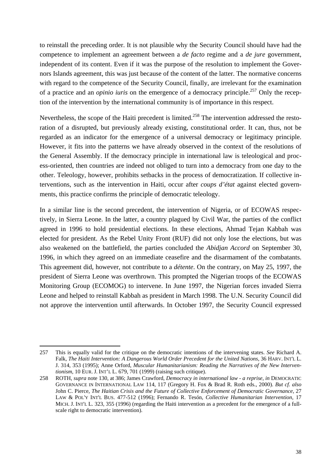to reinstall the preceding order. It is not plausible why the Security Council should have had the competence to implement an agreement between a *de facto* regime and a *de jure* government, independent of its content. Even if it was the purpose of the resolution to implement the Governors Islands agreement, this was just because of the content of the latter. The normative concerns with regard to the competence of the Security Council, finally, are irrelevant for the examination of a practice and an *opinio iuris* on the emergence of a democracy principle.257 Only the reception of the intervention by the international community is of importance in this respect.

Nevertheless, the scope of the Haiti precedent is limited.<sup>258</sup> The intervention addressed the restoration of a disrupted, but previously already existing, constitutional order. It can, thus, not be regarded as an indicator for the emergence of a universal democracy or legitimacy principle. However, it fits into the patterns we have already observed in the context of the resolutions of the General Assembly. If the democracy principle in international law is teleological and process-oriented, then countries are indeed not obliged to turn into a democracy from one day to the other. Teleology, however, prohibits setbacks in the process of democratization. If collective interventions, such as the intervention in Haiti, occur after *coups d'état* against elected governments, this practice confirms the principle of democratic teleology.

In a similar line is the second precedent, the intervention of Nigeria, or of ECOWAS respectively, in Sierra Leone. In the latter, a country plagued by Civil War, the parties of the conflict agreed in 1996 to hold presidential elections. In these elections, Ahmad Tejan Kabbah was elected for president. As the Rebel Unity Front (RUF) did not only lose the elections, but was also weakened on the battlefield, the parties concluded the *Abidjan Accord* on September 30, 1996, in which they agreed on an immediate ceasefire and the disarmament of the combatants. This agreement did, however, not contribute to a *détente*. On the contrary, on May 25, 1997, the president of Sierra Leone was overthrown. This prompted the Nigerian troops of the ECOWAS Monitoring Group (ECOMOG) to intervene. In June 1997, the Nigerian forces invaded Sierra Leone and helped to reinstall Kabbah as president in March 1998. The U.N. Security Council did not approve the intervention until afterwards. In October 1997, the Security Council expressed

<sup>257</sup> This is equally valid for the critique on the democratic intentions of the intervening states. *See* Richard A. Falk, *The Haiti Intervention: A Dangerous World Order Precedent for the United Nations*, 36 HARV. INT'L L. J. 314, 353 (1995); Anne Orford, *Muscular Humanitarianism: Reading the Narratives of the New Interventionism*, 10 EUR. J. INT'L L. 679, 701 (1999) (raising such critique).

<sup>258</sup> ROTH, *supra* note 130, at 386; James Crawford, *Democracy in international law - a reprise*, *in* DEMOCRATIC GOVERNANCE IN INTERNATIONAL LAW 114, 117 (Gregory H. Fox & Brad R. Roth eds., 2000). *But cf. also* John C. Pierce, *The Haitian Crisis and the Future of Collective Enforcement of Democratic Governance*, 27 LAW & POL'Y INT'L BUS. 477-512 (1996); Fernando R. Tesón, *Collective Humanitarian Intervention*, 17 MICH. J. INT'L L. 323, 355 (1996) (regarding the Haiti intervention as a precedent for the emergence of a fullscale right to democratic intervention).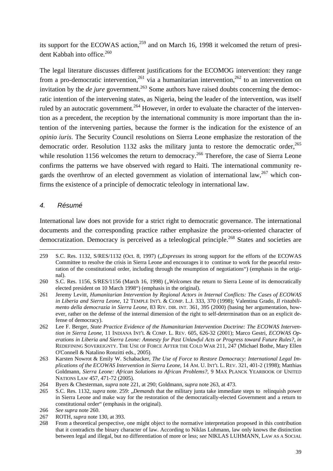its support for the ECOWAS action,<sup>259</sup> and on March 16, 1998 it welcomed the return of president Kabbah into office.<sup>260</sup>

The legal literature discusses different justifications for the ECOMOG intervention: they range from a pro-democratic intervention,<sup>261</sup> via a humanitarian intervention,<sup>262</sup> to an intervention on invitation by the *de jure* government.<sup>263</sup> Some authors have raised doubts concerning the democratic intention of the intervening states, as Nigeria, being the leader of the intervention, was itself ruled by an autocratic government.<sup>264</sup> However, in order to evaluate the character of the intervention as a precedent, the reception by the international community is more important than the intention of the intervening parties, because the former is the indication for the existence of an *opinio iuris*. The Security Council resolutions on Sierra Leone emphasize the restoration of the democratic order. Resolution 1132 asks the military junta to restore the democratic order,  $^{265}$ while resolution 1156 welcomes the return to democracy.<sup>266</sup> Therefore, the case of Sierra Leone confirms the patterns we have observed with regard to Haiti. The international community regards the overthrow of an elected government as violation of international law,  $267$  which confirms the existence of a principle of democratic teleology in international law.

#### *4. Résumé*

j

International law does not provide for a strict right to democratic governance. The international documents and the corresponding practice rather emphasize the process-oriented character of democratization. Democracy is perceived as a teleological principle.<sup>268</sup> States and societies are

<sup>259</sup> S.C. Res. 1132, S/RES/1132 (Oct. 8, 1997) (*"Expresses* its strong support for the efforts of the ECOWAS Committee to resolve the crisis in Sierra Leone and encourages it to continue to work for the peaceful restoration of the constitutional order, including through the resumption of negotiations") (emphasis in the original).

<sup>260</sup> S.C. Res. 1156, S/RES/1156 (March 16, 1998) (*"Welcomes* the return to Sierra Leone of its democratically elected president on 10 March 1998") (emphasis in the original).

<sup>261</sup> Jeremy Levitt, *Humanitarian Intervention by Regional Actors in Internal Conflicts: The Cases of ECOWAS in Liberia and Sierra Leone*, 12 TEMPLE INT'L & COMP. L.J. 333, 370 (1998); Valentina Grado, *Il ristabilimento della democrazia in Sierra Leone*, 83 RIV. DIR. INT. 361, 395 (2000) (basing her argumentation, however, rather on the defense of the internal dimension of the right to self-determination than on an explicit defense of democracy).

<sup>262</sup> Lee F. Berger, *State Practice Evidence of the Humanitarian Intervention Doctrine: The ECOWAS Intervention in Sierra Leone*, 11 INDIANA INT'L & COMP. L. REV. 605, 626-32 (2001); Marco Gestri, *ECOWAS Operations in Liberia and Sierra Leone: Amnesty for Past Unlawful Acts or Progress toward Future Rules?*, *in* REDEFINING SOVEREIGNTY. THE USE OF FORCE AFTER THE COLD WAR 211, 247 (Michael Bothe, Mary Ellen O'Connell & Natalino Ronzitti eds., 2005).

<sup>263</sup> Karsten Nowrot & Emily W. Schabacker, *The Use of Force to Restore Democracy: International Legal Implications of the ECOWAS Intervention in Sierra Leone*, 14 AM. U. INT'L L. REV. 321, 401-2 (1998); Matthias Goldmann, *Sierra Leone: African Solutions to African Problems?*, 9 MAX PLANCK YEARBOOK OF UNITED NATIONS LAW 457, 471-72 (2005).

<sup>264</sup> Byers & Chesterman, *supra* note 221, at 290; Goldmann, *supra* note 263, at 473.

<sup>265</sup> S.C. Res. 1132, *supra* note. 259: *"Demands* that the military junta take immediate steps to relinquish power in Sierra Leone and make way for the restoration of the democratically-elected Government and a return to constitutional order" (emphasis in the original).

<sup>266</sup> *See supra* note 260.

<sup>267</sup> ROTH, *supra* note 130, at 393.

<sup>268</sup> From a theoretical perspective, one might object to the normative interpretation proposed in this contribution that it contradicts the binary character of law. According to Niklas Luhmann, law only knows the distinction between legal and illegal, but no differentiation of more or less; *see* NIKLAS LUHMANN, LAW AS A SOCIAL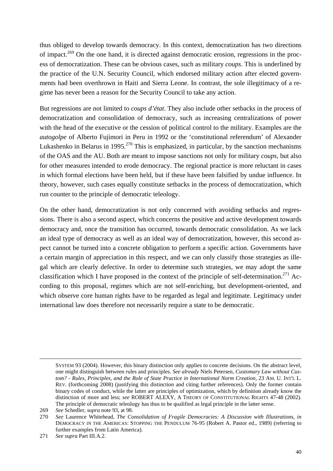thus obliged to develop towards democracy. In this context, democratization has two directions of impact.269 On the one hand, it is directed against democratic erosion, regressions in the process of democratization. These can be obvious cases, such as military *coups*. This is underlined by the practice of the U.N. Security Council, which endorsed military action after elected governments had been overthrown in Haiti and Sierra Leone. In contrast, the sole illegitimacy of a regime has never been a reason for the Security Council to take any action.

But regressions are not limited to *coups d'état*. They also include other setbacks in the process of democratization and consolidation of democracy, such as increasing centralizations of power with the head of the executive or the cession of political control to the military. Examples are the *autogolpe* of Alberto Fujimori in Peru in 1992 or the 'constitutional referendum' of Alexander Lukashenko in Belarus in 1995.<sup>270</sup> This is emphasized, in particular, by the sanction mechanisms of the OAS and the AU. Both are meant to impose sanctions not only for military *coups*, but also for other measures intended to erode democracy. The regional practice is more reluctant in cases in which formal elections have been held, but if these have been falsified by undue influence. In theory, however, such cases equally constitute setbacks in the process of democratization, which run counter to the principle of democratic teleology.

On the other hand, democratization is not only concerned with avoiding setbacks and regressions. There is also a second aspect, which concerns the positive and active development towards democracy and, once the transition has occurred, towards democratic consolidation. As we lack an ideal type of democracy as well as an ideal way of democratization, however, this second aspect cannot be turned into a concrete obligation to perform a specific action. Governments have a certain margin of appreciation in this respect, and we can only classify those strategies as illegal which are clearly defective. In order to determine such strategies, we may adopt the same classification which I have proposed in the context of the principle of self-determination.<sup>271</sup> According to this proposal, regimes which are not self-enriching, but development-oriented, and which observe core human rights have to be regarded as legal and legitimate. Legitimacy under international law does therefore not necessarily require a state to be democratic.

 $\overline{a}$ 

SYSTEM 93 (2004). However, this binary distinction only applies to concrete decisions. On the abstract level, one might distinguish between rules and principles. *See already* Niels Petersen, *Customary Law without Custom? - Rules, Principles, and the Role of State Practice in International Norm Creation*, 23 AM. U. INT'L L. REV. (forthcoming 2008) (justifying this distinction and citing further references). Only the former contain binary codes of conduct, while the latter are principles of optimization, which by definition already know the distinction of more and less; *see* ROBERT ALEXY, A THEORY OF CONSTITUTIONAL RIGHTS 47-48 (2002). The principle of democratic teleology has thus to be qualified as legal principle in the latter sense.

<sup>269</sup> *See* Schedler, *supra* note 93, at 98.

<sup>270</sup> *See* Laurence Whitehead, *The Consolidation of Fragile Democracies: A Discussion with Illustrations*, *in* DEMOCRACY IN THE AMERICAS: STOPPING THE PENDULUM 76-95 (Robert A. Pastor ed., 1989) (referring to further examples from Latin America).

<sup>271</sup> *See supra* Part III.A.2.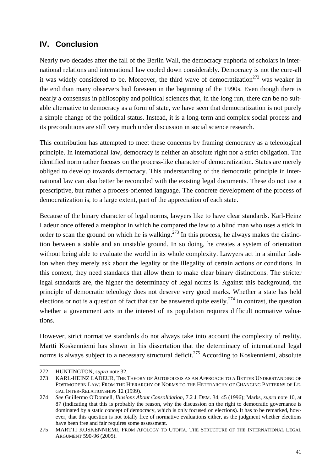# **IV. Conclusion**

Nearly two decades after the fall of the Berlin Wall, the democracy euphoria of scholars in international relations and international law cooled down considerably. Democracy is not the cure-all it was widely considered to be. Moreover, the third wave of democratization<sup>272</sup> was weaker in the end than many observers had foreseen in the beginning of the 1990s. Even though there is nearly a consensus in philosophy and political sciences that, in the long run, there can be no suitable alternative to democracy as a form of state, we have seen that democratization is not purely a simple change of the political status. Instead, it is a long-term and complex social process and its preconditions are still very much under discussion in social science research.

This contribution has attempted to meet these concerns by framing democracy as a teleological principle. In international law, democracy is neither an absolute right nor a strict obligation. The identified norm rather focuses on the process-like character of democratization. States are merely obliged to develop towards democracy. This understanding of the democratic principle in international law can also better be reconciled with the existing legal documents. These do not use a prescriptive, but rather a process-oriented language. The concrete development of the process of democratization is, to a large extent, part of the appreciation of each state.

Because of the binary character of legal norms, lawyers like to have clear standards. Karl-Heinz Ladeur once offered a metaphor in which he compared the law to a blind man who uses a stick in order to scan the ground on which he is walking.<sup>273</sup> In this process, he always makes the distinction between a stable and an unstable ground. In so doing, he creates a system of orientation without being able to evaluate the world in its whole complexity. Lawyers act in a similar fashion when they merely ask about the legality or the illegality of certain actions or conditions. In this context, they need standards that allow them to make clear binary distinctions. The stricter legal standards are, the higher the determinacy of legal norms is. Against this background, the principle of democratic teleology does not deserve very good marks. Whether a state has held elections or not is a question of fact that can be answered quite easily.<sup>274</sup> In contrast, the question whether a government acts in the interest of its population requires difficult normative valuations.

However, strict normative standards do not always take into account the complexity of reality. Martti Koskenniemi has shown in his dissertation that the determinacy of international legal norms is always subject to a necessary structural deficit.<sup>275</sup> According to Koskenniemi, absolute

<sup>272</sup> HUNTINGTON, *supra* note 32.

<sup>273</sup> KARL-HEINZ LADEUR, THE THEORY OF AUTOPOIESIS AS AN APPROACH TO A BETTER UNDERSTANDING OF POSTMODERN LAW: FROM THE HIERARCHY OF NORMS TO THE HETERARCHY OF CHANGING PATTERNS OF LE-GAL INTER-RELATIONSHIPS 12 (1999).

<sup>274</sup> *See* Guillermo O'Donnell, *Illusions About Consolidation*, 7.2 J. DEM. 34, 45 (1996); Marks, *supra* note 10, at 87 (indicating that this is probably the reason, why the discussion on the right to democratic governance is dominated by a static concept of democracy, which is only focused on elections). It has to be remarked, however, that this question is not totally free of normative evaluations either, as the judgment whether elections have been free and fair requires some assessment.

<sup>275</sup> MARTTI KOSKENNIEMI, FROM APOLOGY TO UTOPIA. THE STRUCTURE OF THE INTERNATIONAL LEGAL ARGUMENT 590-96 (2005).